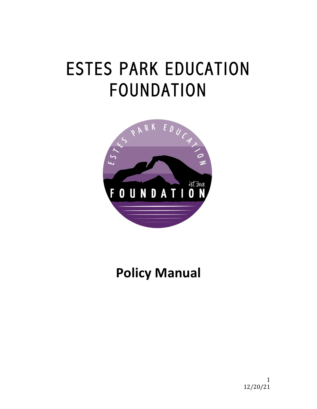## ESTES PARK EDUCATION FOUNDATION



## **Policy Manual**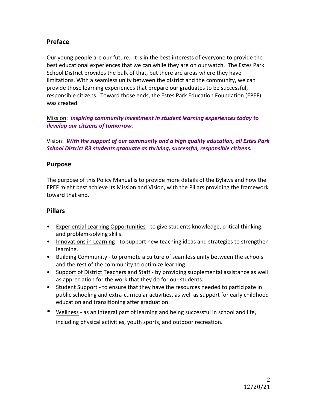#### **Preface**

Our young people are our future. It is in the best interests of everyone to provide the best educational experiences that we can while they are on our watch. The Estes Park School District provides the bulk of that, but there are areas where they have limitations. With a seamless unity between the district and the community, we can provide those learning experiences that prepare our graduates to be successful, responsible citizens. Toward those ends, the Estes Park Education Foundation (EPEF) was created.

Mission: *Inspiring community investment in student learning experiences today to develop our citizens of tomorrow.*

Vision: With the support of our community and a high quality education, all Estes Park *School District R3 students graduate as thriving, successful, responsible citizens.* 

#### **Purpose**

The purpose of this Policy Manual is to provide more details of the Bylaws and how the EPEF might best achieve its Mission and Vision, with the Pillars providing the framework toward that end.

#### **Pillars**

- Experiential Learning Opportunities to give students knowledge, critical thinking, and problem-solving skills.
- Innovations in Learning to support new teaching ideas and strategies to strengthen learning.
- Building Community to promote a culture of seamless unity between the schools and the rest of the community to optimize learning.
- Support of District Teachers and Staff by providing supplemental assistance as well as appreciation for the work that they do for our students.
- Student Support to ensure that they have the resources needed to participate in public schooling and extra-curricular activities, as well as support for early childhood education and transitioning after graduation.
- Wellness as an integral part of learning and being successful in school and life, including physical activities, youth sports, and outdoor recreation.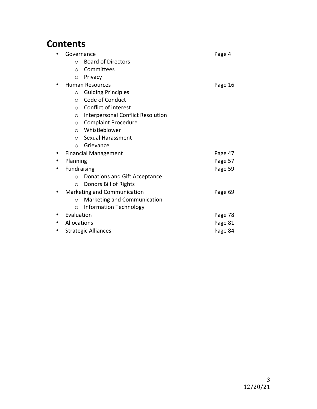### **Contents**

| Governance         |                                          | Page 4  |
|--------------------|------------------------------------------|---------|
| $\bigcirc$         | <b>Board of Directors</b>                |         |
| $\circ$            | Committees                               |         |
| $\circ$            | Privacy                                  |         |
|                    | <b>Human Resources</b>                   | Page 16 |
| $\circ$            | <b>Guiding Principles</b>                |         |
| $\Omega$           | Code of Conduct                          |         |
| $\Omega$           | Conflict of interest                     |         |
| $\circ$            | <b>Interpersonal Conflict Resolution</b> |         |
| $\circ$            | <b>Complaint Procedure</b>               |         |
| $\Omega$           | Whistleblower                            |         |
| $\bigcirc$         | Sexual Harassment                        |         |
| ∩                  | Grievance                                |         |
|                    | <b>Financial Management</b>              | Page 47 |
| Planning           |                                          | Page 57 |
| <b>Fundraising</b> |                                          | Page 59 |
| $\Omega$           | Donations and Gift Acceptance            |         |
| $\circ$            | Donors Bill of Rights                    |         |
|                    | Marketing and Communication              | Page 69 |
| ∩                  | Marketing and Communication              |         |
| $\circ$            | <b>Information Technology</b>            |         |
| Evaluation         |                                          | Page 78 |
| Allocations        |                                          | Page 81 |
|                    | <b>Strategic Alliances</b>               | Page 84 |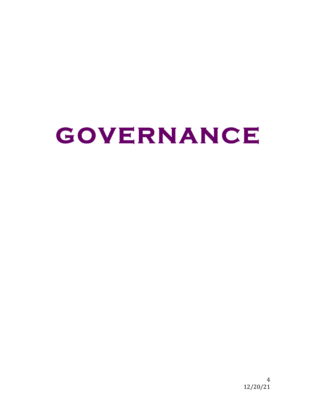## **GOVERNANCE**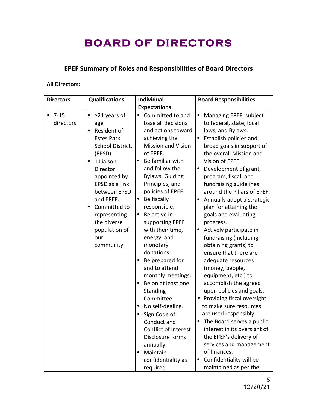### **BOARD OF DIRECTORS**

#### **EPEF Summary of Roles and Responsibilities of Board Directors**

#### **All Directors:**

| <b>Directors</b>      | <b>Qualifications</b>                                                                                                                                                                                                                                                    | <b>Individual</b>                                                                                                                                                                                                                                                                                                                                                                                                                                                                                                                                                                                                                                | <b>Board Responsibilities</b>                                                                                                                                                                                                                                                                                                                                                                                                                                                                                                                                                                                                                                                                                                                                                                                                                                                                                             |
|-----------------------|--------------------------------------------------------------------------------------------------------------------------------------------------------------------------------------------------------------------------------------------------------------------------|--------------------------------------------------------------------------------------------------------------------------------------------------------------------------------------------------------------------------------------------------------------------------------------------------------------------------------------------------------------------------------------------------------------------------------------------------------------------------------------------------------------------------------------------------------------------------------------------------------------------------------------------------|---------------------------------------------------------------------------------------------------------------------------------------------------------------------------------------------------------------------------------------------------------------------------------------------------------------------------------------------------------------------------------------------------------------------------------------------------------------------------------------------------------------------------------------------------------------------------------------------------------------------------------------------------------------------------------------------------------------------------------------------------------------------------------------------------------------------------------------------------------------------------------------------------------------------------|
|                       |                                                                                                                                                                                                                                                                          | <b>Expectations</b>                                                                                                                                                                                                                                                                                                                                                                                                                                                                                                                                                                                                                              |                                                                                                                                                                                                                                                                                                                                                                                                                                                                                                                                                                                                                                                                                                                                                                                                                                                                                                                           |
| $7 - 15$<br>directors | $\geq$ 21 years of<br>age<br>Resident of<br><b>Estes Park</b><br>School District.<br>(EPSD)<br>1 Liaison<br>Director<br>appointed by<br>EPSD as a link<br>between EPSD<br>and EPEF.<br>Committed to<br>representing<br>the diverse<br>population of<br>our<br>community. | Committed to and<br>٠<br>base all decisions<br>and actions toward<br>achieving the<br><b>Mission and Vision</b><br>of EPEF.<br>Be familiar with<br>and follow the<br><b>Bylaws, Guiding</b><br>Principles, and<br>policies of EPEF.<br>Be fiscally<br>٠<br>responsible.<br>Be active in<br>٠<br>supporting EPEF<br>with their time,<br>energy, and<br>monetary<br>donations.<br>Be prepared for<br>and to attend<br>monthly meetings.<br>Be on at least one<br>Standing<br>Committee.<br>No self-dealing.<br>Sign Code of<br>Conduct and<br>Conflict of Interest<br>Disclosure forms<br>annually.<br>Maintain<br>confidentiality as<br>required. | Managing EPEF, subject<br>$\bullet$<br>to federal, state, local<br>laws, and Bylaws.<br>Establish policies and<br>broad goals in support of<br>the overall Mission and<br>Vision of EPEF.<br>Development of grant,<br>٠<br>program, fiscal, and<br>fundraising guidelines<br>around the Pillars of EPEF.<br>Annually adopt a strategic<br>plan for attaining the<br>goals and evaluating<br>progress.<br>Actively participate in<br>٠<br>fundraising (including<br>obtaining grants) to<br>ensure that there are<br>adequate resources<br>(money, people,<br>equipment, etc.) to<br>accomplish the agreed<br>upon policies and goals.<br>Providing fiscal oversight<br>to make sure resources<br>are used responsibly.<br>The Board serves a public<br>interest in its oversight of<br>the EPEF's delivery of<br>services and management<br>of finances.<br>Confidentiality will be<br>$\bullet$<br>maintained as per the |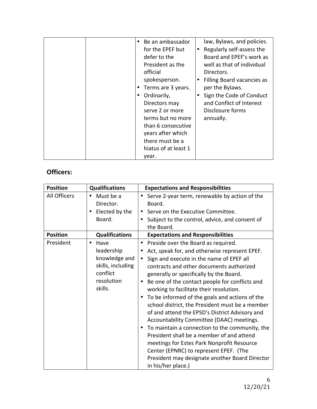| Be an ambassador<br>for the EPEF but<br>defer to the<br>President as the<br>official<br>spokesperson.<br>Terms are 3 years.<br>Ordinarily,<br>Directors may<br>serve 2 or more<br>terms but no more<br>than 6 consecutive<br>years after which<br>there must be a | law, Bylaws, and policies.<br>Regularly self-assess the<br>Board and EPEF's work as<br>well as that of individual<br>Directors.<br>Filling Board vacancies as<br>per the Bylaws.<br>Sign the Code of Conduct<br>and Conflict of Interest<br>Disclosure forms<br>annually. |
|-------------------------------------------------------------------------------------------------------------------------------------------------------------------------------------------------------------------------------------------------------------------|---------------------------------------------------------------------------------------------------------------------------------------------------------------------------------------------------------------------------------------------------------------------------|
| hiatus of at least 1                                                                                                                                                                                                                                              |                                                                                                                                                                                                                                                                           |
| year.                                                                                                                                                                                                                                                             |                                                                                                                                                                                                                                                                           |

#### **Officers:**

| <b>Position</b> | <b>Qualifications</b>                                                                                      | <b>Expectations and Responsibilities</b>                                                                                                                                                                                                                                                                                                                                                                                                                                                                                                                                                                                                                                                                                                                                                                                                 |  |
|-----------------|------------------------------------------------------------------------------------------------------------|------------------------------------------------------------------------------------------------------------------------------------------------------------------------------------------------------------------------------------------------------------------------------------------------------------------------------------------------------------------------------------------------------------------------------------------------------------------------------------------------------------------------------------------------------------------------------------------------------------------------------------------------------------------------------------------------------------------------------------------------------------------------------------------------------------------------------------------|--|
| All Officers    | Must be a<br>$\bullet$<br>Director.<br>Elected by the<br>Board.                                            | Serve 2-year term, renewable by action of the<br>$\bullet$<br>Board.<br>Serve on the Executive Committee.<br>Subject to the control, advice, and consent of                                                                                                                                                                                                                                                                                                                                                                                                                                                                                                                                                                                                                                                                              |  |
| <b>Position</b> | <b>Qualifications</b>                                                                                      | the Board.<br><b>Expectations and Responsibilities</b>                                                                                                                                                                                                                                                                                                                                                                                                                                                                                                                                                                                                                                                                                                                                                                                   |  |
| President       | Have<br>$\bullet$<br>leadership<br>knowledge and<br>skills, including<br>conflict<br>resolution<br>skills. | Preside over the Board as required.<br>$\bullet$<br>Act, speak for, and otherwise represent EPEF.<br>٠<br>Sign and execute in the name of EPEF all<br>$\bullet$<br>contracts and other documents authorized<br>generally or specifically by the Board.<br>Be one of the contact people for conflicts and<br>working to facilitate their resolution.<br>To be informed of the goals and actions of the<br>$\bullet$<br>school district, the President must be a member<br>of and attend the EPSD's District Advisory and<br>Accountability Committee (DAAC) meetings.<br>To maintain a connection to the community, the<br>٠<br>President shall be a member of and attend<br>meetings for Estes Park Nonprofit Resource<br>Center (EPNRC) to represent EPEF. (The<br>President may designate another Board Director<br>in his/her place.) |  |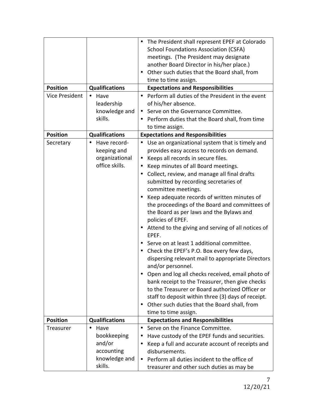|                       |                       | The President shall represent EPEF at Colorado                |
|-----------------------|-----------------------|---------------------------------------------------------------|
|                       |                       | <b>School Foundations Association (CSFA)</b>                  |
|                       |                       | meetings. (The President may designate                        |
|                       |                       | another Board Director in his/her place.)                     |
|                       |                       | Other such duties that the Board shall, from<br>٠             |
|                       |                       | time to time assign.                                          |
| <b>Position</b>       | <b>Qualifications</b> | <b>Expectations and Responsibilities</b>                      |
| <b>Vice President</b> | Have<br>$\bullet$     | Perform all duties of the President in the event<br>$\bullet$ |
|                       | leadership            | of his/her absence.                                           |
|                       | knowledge and         | Serve on the Governance Committee.<br>٠                       |
|                       | skills.               | Perform duties that the Board shall, from time                |
|                       |                       | to time assign.                                               |
| <b>Position</b>       | <b>Qualifications</b> | <b>Expectations and Responsibilities</b>                      |
| Secretary             | Have record-          | • Use an organizational system that is timely and             |
|                       | keeping and           | provides easy access to records on demand.                    |
|                       | organizational        | Keeps all records in secure files.<br>٠                       |
|                       | office skills.        | Keep minutes of all Board meetings.<br>٠                      |
|                       |                       | Collect, review, and manage all final drafts<br>٠             |
|                       |                       | submitted by recording secretaries of                         |
|                       |                       | committee meetings.                                           |
|                       |                       | Keep adequate records of written minutes of                   |
|                       |                       | the proceedings of the Board and committees of                |
|                       |                       | the Board as per laws and the Bylaws and                      |
|                       |                       | policies of EPEF.                                             |
|                       |                       | Attend to the giving and serving of all notices of            |
|                       |                       | EPEF.                                                         |
|                       |                       | • Serve on at least 1 additional committee.                   |
|                       |                       | • Check the EPEF's P.O. Box every few days,                   |
|                       |                       | dispersing relevant mail to appropriate Directors             |
|                       |                       | and/or personnel.                                             |
|                       |                       | Open and log all checks received, email photo of              |
|                       |                       | bank receipt to the Treasurer, then give checks               |
|                       |                       | to the Treasurer or Board authorized Officer or               |
|                       |                       | staff to deposit within three (3) days of receipt.            |
|                       |                       | Other such duties that the Board shall, from<br>٠             |
|                       |                       | time to time assign.                                          |
| <b>Position</b>       | <b>Qualifications</b> | <b>Expectations and Responsibilities</b>                      |
| Treasurer             | Have<br>$\bullet$     | Serve on the Finance Committee.<br>$\bullet$                  |
|                       | bookkeeping           | Have custody of the EPEF funds and securities.                |
|                       | and/or                | Keep a full and accurate account of receipts and              |
|                       | accounting            | disbursements.                                                |
|                       | knowledge and         | Perform all duties incident to the office of<br>٠             |
|                       | skills.               | treasurer and other such duties as may be                     |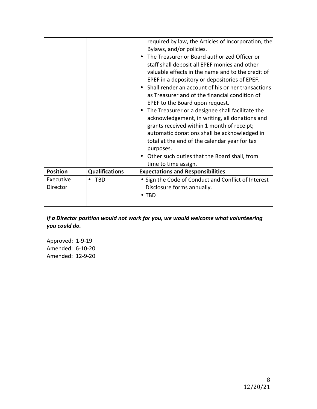|                       |                       | required by law, the Articles of Incorporation, the<br>Bylaws, and/or policies.<br>• The Treasurer or Board authorized Officer or<br>staff shall deposit all EPEF monies and other<br>valuable effects in the name and to the credit of<br>EPEF in a depository or depositories of EPEF.<br>• Shall render an account of his or her transactions<br>as Treasurer and of the financial condition of<br>EPEF to the Board upon request.<br>• The Treasurer or a designee shall facilitate the<br>acknowledgement, in writing, all donations and<br>grants received within 1 month of receipt;<br>automatic donations shall be acknowledged in<br>total at the end of the calendar year for tax<br>purposes.<br>Other such duties that the Board shall, from<br>time to time assign. |
|-----------------------|-----------------------|-----------------------------------------------------------------------------------------------------------------------------------------------------------------------------------------------------------------------------------------------------------------------------------------------------------------------------------------------------------------------------------------------------------------------------------------------------------------------------------------------------------------------------------------------------------------------------------------------------------------------------------------------------------------------------------------------------------------------------------------------------------------------------------|
| <b>Position</b>       | <b>Qualifications</b> | <b>Expectations and Responsibilities</b>                                                                                                                                                                                                                                                                                                                                                                                                                                                                                                                                                                                                                                                                                                                                          |
| Executive<br>Director | <b>TBD</b>            | • Sign the Code of Conduct and Conflict of Interest                                                                                                                                                                                                                                                                                                                                                                                                                                                                                                                                                                                                                                                                                                                               |
|                       |                       | Disclosure forms annually.                                                                                                                                                                                                                                                                                                                                                                                                                                                                                                                                                                                                                                                                                                                                                        |
|                       |                       | • TBD                                                                                                                                                                                                                                                                                                                                                                                                                                                                                                                                                                                                                                                                                                                                                                             |

*If* a Director position would not work for you, we would welcome what volunteering *you could do.* 

Approved: 1-9-19 Amended: 6-10-20 Amended: 12-9-20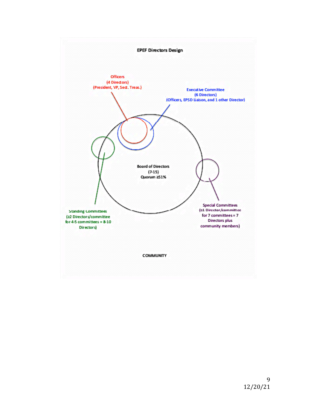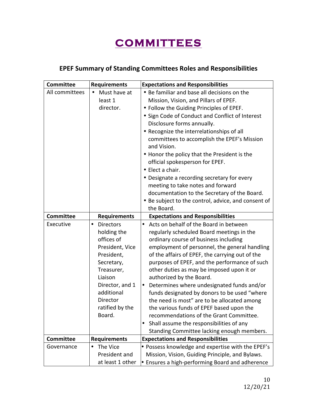## **COMMITTEES**

#### **EPEF Summary of Standing Committees Roles and Responsibilities**

| <b>Committee</b> | <b>Requirements</b>                                                                                                                                                                                  | <b>Expectations and Responsibilities</b>                                                                                                                                                                                                                                                                                                                                                                                                                                                                                                                                                                                                                                                                                |  |
|------------------|------------------------------------------------------------------------------------------------------------------------------------------------------------------------------------------------------|-------------------------------------------------------------------------------------------------------------------------------------------------------------------------------------------------------------------------------------------------------------------------------------------------------------------------------------------------------------------------------------------------------------------------------------------------------------------------------------------------------------------------------------------------------------------------------------------------------------------------------------------------------------------------------------------------------------------------|--|
| All committees   | Must have at<br>٠<br>least 1<br>director.                                                                                                                                                            | • Be familiar and base all decisions on the<br>Mission, Vision, and Pillars of EPEF.<br>• Follow the Guiding Principles of EPEF.<br>• Sign Code of Conduct and Conflict of Interest<br>Disclosure forms annually.<br>• Recognize the interrelationships of all<br>committees to accomplish the EPEF's Mission<br>and Vision.<br>• Honor the policy that the President is the<br>official spokesperson for EPEF.<br>• Elect a chair.<br>• Designate a recording secretary for every<br>meeting to take notes and forward<br>documentation to the Secretary of the Board.<br>• Be subject to the control, advice, and consent of                                                                                          |  |
| <b>Committee</b> | <b>Requirements</b>                                                                                                                                                                                  | the Board.<br><b>Expectations and Responsibilities</b>                                                                                                                                                                                                                                                                                                                                                                                                                                                                                                                                                                                                                                                                  |  |
| Executive        | <b>Directors</b><br>٠<br>holding the<br>offices of<br>President, Vice<br>President,<br>Secretary,<br>Treasurer,<br>Liaison<br>Director, and 1<br>additional<br>Director<br>ratified by the<br>Board. | Acts on behalf of the Board in between<br>$\bullet$<br>regularly scheduled Board meetings in the<br>ordinary course of business including<br>employment of personnel, the general handling<br>of the affairs of EPEF, the carrying out of the<br>purposes of EPEF, and the performance of such<br>other duties as may be imposed upon it or<br>authorized by the Board.<br>Determines where undesignated funds and/or<br>$\bullet$<br>funds designated by donors to be used "where<br>the need is most" are to be allocated among<br>the various funds of EPEF based upon the<br>recommendations of the Grant Committee.<br>Shall assume the responsibilities of any<br>٠<br>Standing Committee lacking enough members. |  |
| <b>Committee</b> | <b>Requirements</b>                                                                                                                                                                                  | <b>Expectations and Responsibilities</b>                                                                                                                                                                                                                                                                                                                                                                                                                                                                                                                                                                                                                                                                                |  |
| Governance       | The Vice<br>President and<br>at least 1 other                                                                                                                                                        | • Possess knowledge and expertise with the EPEF's<br>Mission, Vision, Guiding Principle, and Bylaws.<br>• Ensures a high-performing Board and adherence                                                                                                                                                                                                                                                                                                                                                                                                                                                                                                                                                                 |  |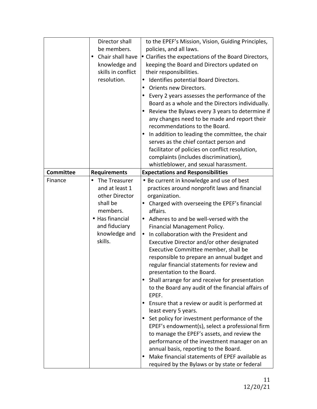|                  | Director shall<br>be members.<br>Chair shall have<br>$\bullet$<br>knowledge and<br>skills in conflict<br>resolution.                           | to the EPEF's Mission, Vision, Guiding Principles,<br>policies, and all laws.<br>• Clarifies the expectations of the Board Directors,<br>keeping the Board and Directors updated on<br>their responsibilities.<br>Identifies potential Board Directors.<br>$\bullet$<br>Orients new Directors.<br>٠<br>Every 2 years assesses the performance of the<br>Board as a whole and the Directors individually.<br>Review the Bylaws every 3 years to determine if<br>any changes need to be made and report their<br>recommendations to the Board.<br>In addition to leading the committee, the chair<br>serves as the chief contact person and<br>facilitator of policies on conflict resolution,<br>complaints (includes discrimination),<br>whistleblower, and sexual harassment.                                                                                                                                                                                                                                                                        |
|------------------|------------------------------------------------------------------------------------------------------------------------------------------------|-------------------------------------------------------------------------------------------------------------------------------------------------------------------------------------------------------------------------------------------------------------------------------------------------------------------------------------------------------------------------------------------------------------------------------------------------------------------------------------------------------------------------------------------------------------------------------------------------------------------------------------------------------------------------------------------------------------------------------------------------------------------------------------------------------------------------------------------------------------------------------------------------------------------------------------------------------------------------------------------------------------------------------------------------------|
| <b>Committee</b> | <b>Requirements</b>                                                                                                                            | <b>Expectations and Responsibilities</b>                                                                                                                                                                                                                                                                                                                                                                                                                                                                                                                                                                                                                                                                                                                                                                                                                                                                                                                                                                                                              |
| Finance          | The Treasurer<br>٠<br>and at least 1<br>other Director<br>shall be<br>members.<br>• Has financial<br>and fiduciary<br>knowledge and<br>skills. | • Be current in knowledge and use of best<br>practices around nonprofit laws and financial<br>organization.<br>Charged with overseeing the EPEF's financial<br>affairs.<br>Adheres to and be well-versed with the<br>Financial Management Policy.<br>In collaboration with the President and<br>Executive Director and/or other designated<br>Executive Committee member, shall be<br>responsible to prepare an annual budget and<br>regular financial statements for review and<br>presentation to the Board.<br>Shall arrange for and receive for presentation<br>to the Board any audit of the financial affairs of<br>EPEF.<br>Ensure that a review or audit is performed at<br>least every 5 years.<br>Set policy for investment performance of the<br>EPEF's endowment(s), select a professional firm<br>to manage the EPEF's assets, and review the<br>performance of the investment manager on an<br>annual basis, reporting to the Board.<br>Make financial statements of EPEF available as<br>required by the Bylaws or by state or federal |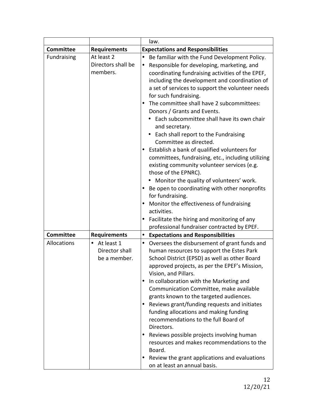|                                                                          | law.                                                                                                                                                                                                                                                                                                                                                                                                                                                                                                                                                                                                                                                                                                                                                                                                                                                                                                                               |  |
|--------------------------------------------------------------------------|------------------------------------------------------------------------------------------------------------------------------------------------------------------------------------------------------------------------------------------------------------------------------------------------------------------------------------------------------------------------------------------------------------------------------------------------------------------------------------------------------------------------------------------------------------------------------------------------------------------------------------------------------------------------------------------------------------------------------------------------------------------------------------------------------------------------------------------------------------------------------------------------------------------------------------|--|
| <b>Requirements</b>                                                      | <b>Expectations and Responsibilities</b>                                                                                                                                                                                                                                                                                                                                                                                                                                                                                                                                                                                                                                                                                                                                                                                                                                                                                           |  |
| At least 2<br>Directors shall be<br>members.                             | Be familiar with the Fund Development Policy.<br>$\bullet$<br>Responsible for developing, marketing, and<br>٠<br>coordinating fundraising activities of the EPEF,<br>including the development and coordination of<br>a set of services to support the volunteer needs<br>for such fundraising.<br>The committee shall have 2 subcommittees:<br>Donors / Grants and Events.<br>Each subcommittee shall have its own chair<br>and secretary.<br>Each shall report to the Fundraising<br>$\bullet$<br>Committee as directed.<br>Establish a bank of qualified volunteers for<br>committees, fundraising, etc., including utilizing<br>existing community volunteer services (e.g.<br>those of the EPNRC).<br>Monitor the quality of volunteers' work.<br>Be open to coordinating with other nonprofits<br>for fundraising.<br>Monitor the effectiveness of fundraising<br>activities.<br>Facilitate the hiring and monitoring of any |  |
|                                                                          | professional fundraiser contracted by EPEF.                                                                                                                                                                                                                                                                                                                                                                                                                                                                                                                                                                                                                                                                                                                                                                                                                                                                                        |  |
| <b>Requirements</b><br>At least 1<br>٠<br>Director shall<br>be a member. | <b>Expectations and Responsibilities</b><br>$\bullet$<br>Oversees the disbursement of grant funds and<br>$\bullet$<br>human resources to support the Estes Park<br>School District (EPSD) as well as other Board<br>approved projects, as per the EPEF's Mission,<br>Vision, and Pillars.<br>In collaboration with the Marketing and<br>Communication Committee, make available<br>grants known to the targeted audiences.<br>Reviews grant/funding requests and initiates<br>funding allocations and making funding<br>recommendations to the full Board of<br>Directors.<br>Reviews possible projects involving human<br>resources and makes recommendations to the<br>Board.<br>Review the grant applications and evaluations                                                                                                                                                                                                   |  |
|                                                                          |                                                                                                                                                                                                                                                                                                                                                                                                                                                                                                                                                                                                                                                                                                                                                                                                                                                                                                                                    |  |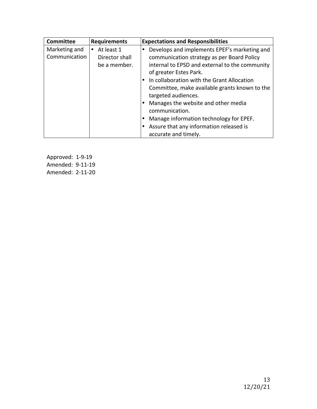| Committee     | <b>Requirements</b> | <b>Expectations and Responsibilities</b>          |
|---------------|---------------------|---------------------------------------------------|
| Marketing and | At least 1          | Develops and implements EPEF's marketing and<br>٠ |
| Communication | Director shall      | communication strategy as per Board Policy        |
|               | be a member.        | internal to EPSD and external to the community    |
|               |                     | of greater Estes Park.                            |
|               |                     | In collaboration with the Grant Allocation        |
|               |                     | Committee, make available grants known to the     |
|               |                     | targeted audiences.                               |
|               |                     | Manages the website and other media               |
|               |                     | communication.                                    |
|               |                     | Manage information technology for EPEF.           |
|               |                     | Assure that any information released is           |
|               |                     | accurate and timely.                              |

Approved: 1-9-19 Amended: 9-11-19 Amended: 2-11-20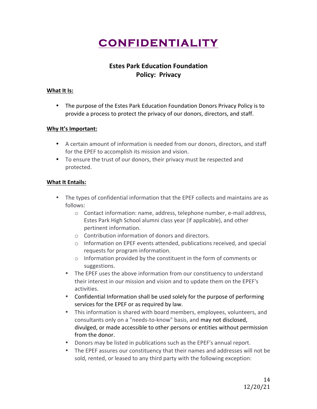## **CONFIDENTIALITY**

#### **Estes Park Education Foundation Policy: Privacy**

#### **What It Is:**

• The purpose of the Estes Park Education Foundation Donors Privacy Policy is to provide a process to protect the privacy of our donors, directors, and staff.

#### **Why It's Important:**

- A certain amount of information is needed from our donors, directors, and staff for the EPEF to accomplish its mission and vision.
- To ensure the trust of our donors, their privacy must be respected and protected.

#### **What It Entails:**

- The types of confidential information that the EPEF collects and maintains are as follows:
	- $\circ$  Contact information: name, address, telephone number, e-mail address, Estes Park High School alumni class year (if applicable), and other pertinent information.
	- $\circ$  Contribution information of donors and directors.
	- $\circ$  Information on EPEF events attended, publications received, and special requests for program information.
	- $\circ$  Information provided by the constituent in the form of comments or suggestions.
	- The EPEF uses the above information from our constituency to understand their interest in our mission and vision and to update them on the EPEF's activities.
	- Confidential Information shall be used solely for the purpose of performing services for the EPEF or as required by law.
	- This information is shared with board members, employees, volunteers, and consultants only on a "needs-to-know" basis, and may not disclosed, divulged, or made accessible to other persons or entities without permission from the donor.
	- Donors may be listed in publications such as the EPEF's annual report.
	- The EPEF assures our constituency that their names and addresses will not be sold, rented, or leased to any third party with the following exception: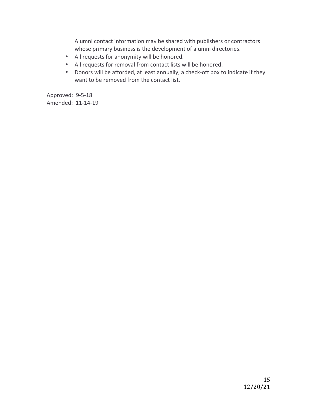Alumni contact information may be shared with publishers or contractors whose primary business is the development of alumni directories.

- All requests for anonymity will be honored.
- All requests for removal from contact lists will be honored.
- Donors will be afforded, at least annually, a check-off box to indicate if they want to be removed from the contact list.

Approved: 9-5-18 Amended: 11-14-19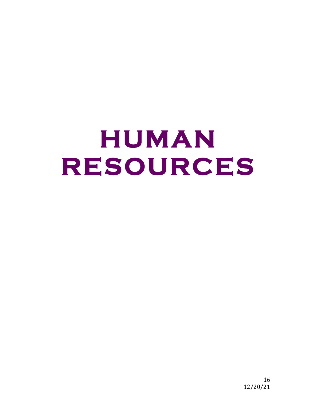# **HUMAN RESOURCES**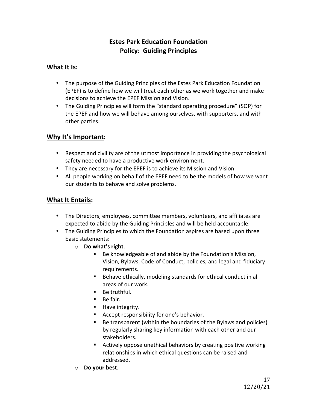#### **Estes Park Education Foundation Policy: Guiding Principles**

#### **What It Is:**

- The purpose of the Guiding Principles of the Estes Park Education Foundation (EPEF) is to define how we will treat each other as we work together and make decisions to achieve the EPEF Mission and Vision.
- The Guiding Principles will form the "standard operating procedure" (SOP) for the EPEF and how we will behave among ourselves, with supporters, and with other parties.

#### **Why It's Important:**

- Respect and civility are of the utmost importance in providing the psychological safety needed to have a productive work environment.
- They are necessary for the EPEF is to achieve its Mission and Vision.
- All people working on behalf of the EPEF need to be the models of how we want our students to behave and solve problems.

#### **What It Entails:**

- The Directors, employees, committee members, volunteers, and affiliates are expected to abide by the Guiding Principles and will be held accountable.
- The Guiding Principles to which the Foundation aspires are based upon three basic statements:
	- o **Do what's right**.
		- Be knowledgeable of and abide by the Foundation's Mission, Vision, Bylaws, Code of Conduct, policies, and legal and fiduciary requirements.
		- Behave ethically, modeling standards for ethical conduct in all areas of our work.
		- Be truthful.
		- $\blacksquare$  Be fair.
		- Have integrity.
		- Accept responsibility for one's behavior.
		- $\blacksquare$  Be transparent (within the boundaries of the Bylaws and policies) by regularly sharing key information with each other and our stakeholders.
		- Actively oppose unethical behaviors by creating positive working relationships in which ethical questions can be raised and addressed.
	- o **Do your best**.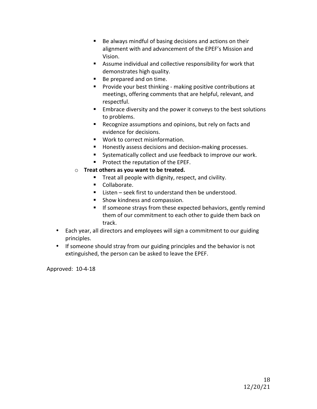- Be always mindful of basing decisions and actions on their alignment with and advancement of the EPEF's Mission and Vision.
- Assume individual and collective responsibility for work that demonstrates high quality.
- Be prepared and on time.
- Provide your best thinking making positive contributions at meetings, offering comments that are helpful, relevant, and respectful.
- Embrace diversity and the power it conveys to the best solutions to problems.
- Recognize assumptions and opinions, but rely on facts and evidence for decisions.
- Work to correct misinformation.
- Honestly assess decisions and decision-making processes.
- Systematically collect and use feedback to improve our work.
- Protect the reputation of the EPEF.
- o **Treat others as you want to be treated.** 
	- Treat all people with dignity, respect, and civility.
	- Collaborate.
	- Listen seek first to understand then be understood.
	- Show kindness and compassion.
	- **•** If someone strays from these expected behaviors, gently remind them of our commitment to each other to guide them back on track.
- Each year, all directors and employees will sign a commitment to our guiding principles.
- If someone should stray from our guiding principles and the behavior is not extinguished, the person can be asked to leave the EPEF.

Approved: 10-4-18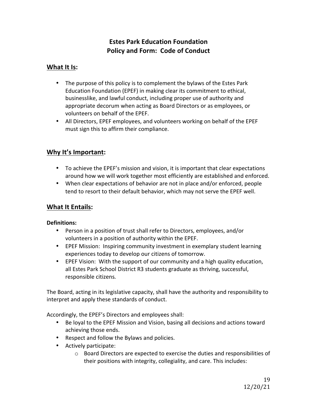#### **Estes Park Education Foundation Policy and Form: Code of Conduct**

#### **What It Is:**

- The purpose of this policy is to complement the bylaws of the Estes Park Education Foundation (EPEF) in making clear its commitment to ethical, businesslike, and lawful conduct, including proper use of authority and appropriate decorum when acting as Board Directors or as employees, or volunteers on behalf of the EPEF.
- All Directors, EPEF employees, and volunteers working on behalf of the EPEF must sign this to affirm their compliance.

#### **Why It's Important:**

- To achieve the EPEF's mission and vision, it is important that clear expectations around how we will work together most efficiently are established and enforced.
- When clear expectations of behavior are not in place and/or enforced, people tend to resort to their default behavior, which may not serve the EPEF well.

#### **What It Entails:**

#### **Definitions:**

- Person in a position of trust shall refer to Directors, employees, and/or volunteers in a position of authority within the EPEF.
- EPEF Mission: Inspiring community investment in exemplary student learning experiences today to develop our citizens of tomorrow.
- EPEF Vision: With the support of our community and a high quality education, all Estes Park School District R3 students graduate as thriving, successful, responsible citizens*.*

The Board, acting in its legislative capacity, shall have the authority and responsibility to interpret and apply these standards of conduct.

Accordingly, the EPEF's Directors and employees shall:

- Be loyal to the EPEF Mission and Vision, basing all decisions and actions toward achieving those ends.
- Respect and follow the Bylaws and policies.
- Actively participate:
	- $\circ$  Board Directors are expected to exercise the duties and responsibilities of their positions with integrity, collegiality, and care. This includes: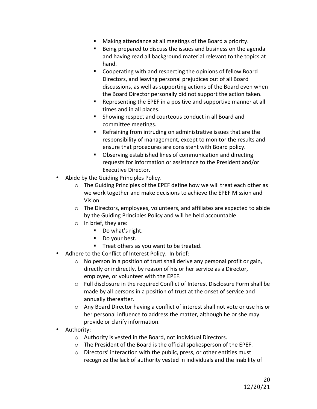- Making attendance at all meetings of the Board a priority.
- **E** Being prepared to discuss the issues and business on the agenda and having read all background material relevant to the topics at hand.
- Cooperating with and respecting the opinions of fellow Board Directors, and leaving personal prejudices out of all Board discussions, as well as supporting actions of the Board even when the Board Director personally did not support the action taken.
- Representing the EPEF in a positive and supportive manner at all times and in all places.
- Showing respect and courteous conduct in all Board and committee meetings.
- E Refraining from intruding on administrative issues that are the responsibility of management, except to monitor the results and ensure that procedures are consistent with Board policy.
- Observing established lines of communication and directing requests for information or assistance to the President and/or Executive Director.
- Abide by the Guiding Principles Policy.
	- $\circ$  The Guiding Principles of the EPEF define how we will treat each other as we work together and make decisions to achieve the EPEF Mission and Vision.
	- $\circ$  The Directors, employees, volunteers, and affiliates are expected to abide by the Guiding Principles Policy and will be held accountable.
	- $\circ$  In brief, they are:
		- Do what's right.
		- Do your best.
		- Treat others as you want to be treated.
- Adhere to the Conflict of Interest Policy. In brief:
	- $\circ$  No person in a position of trust shall derive any personal profit or gain, directly or indirectly, by reason of his or her service as a Director, employee, or volunteer with the EPEF.
	- o Full disclosure in the required Conflict of Interest Disclosure Form shall be made by all persons in a position of trust at the onset of service and annually thereafter.
	- $\circ$  Any Board Director having a conflict of interest shall not vote or use his or her personal influence to address the matter, although he or she may provide or clarify information.
- Authority:
	- $\circ$  Authority is vested in the Board, not individual Directors.
	- $\circ$  The President of the Board is the official spokesperson of the EPEF.
	- $\circ$  Directors' interaction with the public, press, or other entities must recognize the lack of authority vested in individuals and the inability of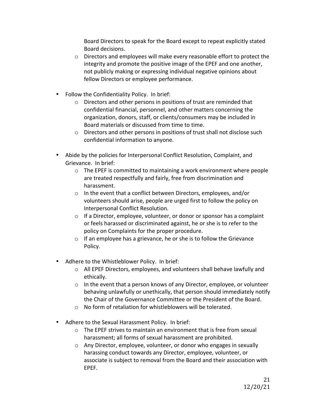Board Directors to speak for the Board except to repeat explicitly stated Board decisions.

- $\circ$  Directors and employees will make every reasonable effort to protect the integrity and promote the positive image of the EPEF and one another, not publicly making or expressing individual negative opinions about fellow Directors or employee performance.
- Follow the Confidentiality Policy. In brief:
	- $\circ$  Directors and other persons in positions of trust are reminded that confidential financial, personnel, and other matters concerning the organization, donors, staff, or clients/consumers may be included in Board materials or discussed from time to time.
	- $\circ$  Directors and other persons in positions of trust shall not disclose such confidential information to anyone.
- Abide by the policies for Interpersonal Conflict Resolution, Complaint, and Grievance. In brief:
	- $\circ$  The EPEF is committed to maintaining a work environment where people are treated respectfully and fairly, free from discrimination and harassment.
	- $\circ$  In the event that a conflict between Directors, employees, and/or volunteers should arise, people are urged first to follow the policy on Interpersonal Conflict Resolution.
	- $\circ$  If a Director, employee, volunteer, or donor or sponsor has a complaint or feels harassed or discriminated against, he or she is to refer to the policy on Complaints for the proper procedure.
	- $\circ$  If an employee has a grievance, he or she is to follow the Grievance Policy.
- Adhere to the Whistleblower Policy. In brief:
	- $\circ$  All EPEF Directors, employees, and volunteers shall behave lawfully and ethically.
	- $\circ$  In the event that a person knows of any Director, employee, or volunteer behaving unlawfully or unethically, that person should immediately notify the Chair of the Governance Committee or the President of the Board.
	- $\circ$  No form of retaliation for whistleblowers will be tolerated.
- Adhere to the Sexual Harassment Policy. In brief:
	- $\circ$  The EPEF strives to maintain an environment that is free from sexual harassment; all forms of sexual harassment are prohibited.
	- $\circ$  Any Director, employee, volunteer, or donor who engages in sexually harassing conduct towards any Director, employee, volunteer, or associate is subject to removal from the Board and their association with EPEF.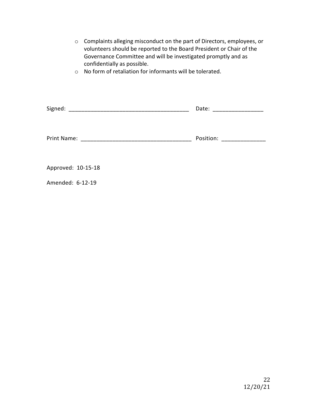| Complaints alleging misconduct on the part of Directors, employees, or<br>$\circ$<br>volunteers should be reported to the Board President or Chair of the<br>Governance Committee and will be investigated promptly and as<br>confidentially as possible.<br>$\circ$ No form of retaliation for informants will be tolerated. |  |                           |
|-------------------------------------------------------------------------------------------------------------------------------------------------------------------------------------------------------------------------------------------------------------------------------------------------------------------------------|--|---------------------------|
|                                                                                                                                                                                                                                                                                                                               |  | Date: ___________________ |
|                                                                                                                                                                                                                                                                                                                               |  | Position: _______________ |
| Approved: 10-15-18                                                                                                                                                                                                                                                                                                            |  |                           |
| Amended: 6-12-19                                                                                                                                                                                                                                                                                                              |  |                           |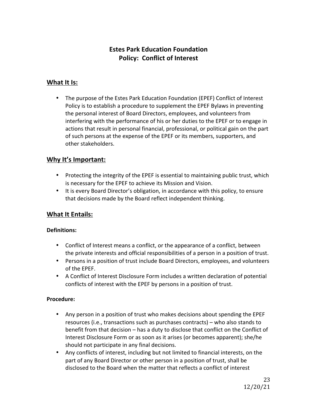#### **Estes Park Education Foundation Policy: Conflict of Interest**

#### **What It Is:**

• The purpose of the Estes Park Education Foundation (EPEF) Conflict of Interest Policy is to establish a procedure to supplement the EPEF Bylaws in preventing the personal interest of Board Directors, employees, and volunteers from interfering with the performance of his or her duties to the EPEF or to engage in actions that result in personal financial, professional, or political gain on the part of such persons at the expense of the EPEF or its members, supporters, and other stakeholders.

#### **Why It's Important:**

- Protecting the integrity of the EPEF is essential to maintaining public trust, which is necessary for the EPEF to achieve its Mission and Vision.
- It is every Board Director's obligation, in accordance with this policy, to ensure that decisions made by the Board reflect independent thinking.

#### **What It Entails:**

#### **Definitions:**

- Conflict of Interest means a conflict, or the appearance of a conflict, between the private interests and official responsibilities of a person in a position of trust.
- Persons in a position of trust include Board Directors, employees, and volunteers of the EPEF.
- A Conflict of Interest Disclosure Form includes a written declaration of potential conflicts of interest with the EPEF by persons in a position of trust.

#### **Procedure:**

- Any person in a position of trust who makes decisions about spending the EPEF resources (i.e., transactions such as purchases contracts) – who also stands to benefit from that decision – has a duty to disclose that conflict on the Conflict of Interest Disclosure Form or as soon as it arises (or becomes apparent); she/he should not participate in any final decisions.
- Any conflicts of interest, including but not limited to financial interests, on the part of any Board Director or other person in a position of trust, shall be disclosed to the Board when the matter that reflects a conflict of interest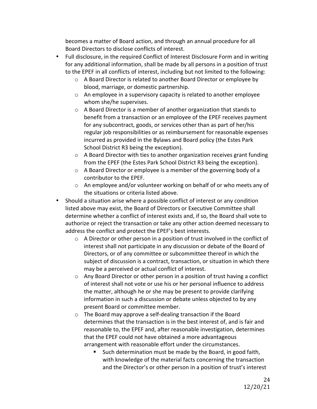becomes a matter of Board action, and through an annual procedure for all Board Directors to disclose conflicts of interest.

- Full disclosure, in the required Conflict of Interest Disclosure Form and in writing for any additional information, shall be made by all persons in a position of trust to the EPEF in all conflicts of interest, including but not limited to the following:
	- $\circ$  A Board Director is related to another Board Director or employee by blood, marriage, or domestic partnership.
	- $\circ$  An employee in a supervisory capacity is related to another employee whom she/he supervises.
	- $\circ$  A Board Director is a member of another organization that stands to benefit from a transaction or an employee of the EPEF receives payment for any subcontract, goods, or services other than as part of her/his regular job responsibilities or as reimbursement for reasonable expenses incurred as provided in the Bylaws and Board policy (the Estes Park School District R3 being the exception).
	- $\circ$  A Board Director with ties to another organization receives grant funding from the EPEF (the Estes Park School District R3 being the exception).
	- $\circ$  A Board Director or employee is a member of the governing body of a contributor to the EPEF.
	- $\circ$  An employee and/or volunteer working on behalf of or who meets any of the situations or criteria listed above.
- Should a situation arise where a possible conflict of interest or any condition listed above may exist, the Board of Directors or Executive Committee shall determine whether a conflict of interest exists and, if so, the Board shall vote to authorize or reject the transaction or take any other action deemed necessary to address the conflict and protect the EPEF's best interests.
	- $\circ$  A Director or other person in a position of trust involved in the conflict of interest shall not participate in any discussion or debate of the Board of Directors, or of any committee or subcommittee thereof in which the subject of discussion is a contract, transaction, or situation in which there may be a perceived or actual conflict of interest.
	- $\circ$  Any Board Director or other person in a position of trust having a conflict of interest shall not vote or use his or her personal influence to address the matter, although he or she may be present to provide clarifying information in such a discussion or debate unless objected to by any present Board or committee member.
	- $\circ$  The Board may approve a self-dealing transaction if the Board determines that the transaction is in the best interest of, and is fair and reasonable to, the EPEF and, after reasonable investigation, determines that the EPEF could not have obtained a more advantageous arrangement with reasonable effort under the circumstances.
		- Such determination must be made by the Board, in good faith, with knowledge of the material facts concerning the transaction and the Director's or other person in a position of trust's interest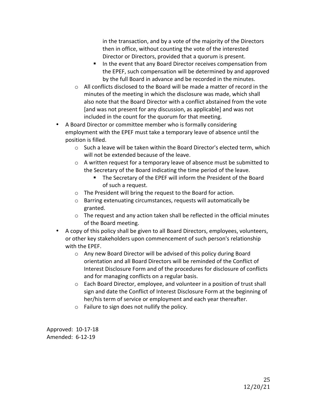in the transaction, and by a vote of the majority of the Directors then in office, without counting the vote of the interested Director or Directors, provided that a quorum is present.

- In the event that any Board Director receives compensation from the EPEF, such compensation will be determined by and approved by the full Board in advance and be recorded in the minutes.
- $\circ$  All conflicts disclosed to the Board will be made a matter of record in the minutes of the meeting in which the disclosure was made, which shall also note that the Board Director with a conflict abstained from the vote [and was not present for any discussion, as applicable] and was not included in the count for the quorum for that meeting.
- A Board Director or committee member who is formally considering employment with the EPEF must take a temporary leave of absence until the position is filled.
	- $\circ$  Such a leave will be taken within the Board Director's elected term, which will not be extended because of the leave.
	- $\circ$  A written request for a temporary leave of absence must be submitted to the Secretary of the Board indicating the time period of the leave.
		- The Secretary of the EPEF will inform the President of the Board of such a request.
	- $\circ$  The President will bring the request to the Board for action.
	- $\circ$  Barring extenuating circumstances, requests will automatically be granted.
	- $\circ$  The request and any action taken shall be reflected in the official minutes of the Board meeting.
- A copy of this policy shall be given to all Board Directors, employees, volunteers, or other key stakeholders upon commencement of such person's relationship with the EPEF.
	- $\circ$  Any new Board Director will be advised of this policy during Board orientation and all Board Directors will be reminded of the Conflict of Interest Disclosure Form and of the procedures for disclosure of conflicts and for managing conflicts on a regular basis.
	- $\circ$  Each Board Director, employee, and volunteer in a position of trust shall sign and date the Conflict of Interest Disclosure Form at the beginning of her/his term of service or employment and each year thereafter.
	- $\circ$  Failure to sign does not nullify the policy.

Approved: 10-17-18 Amended: 6-12-19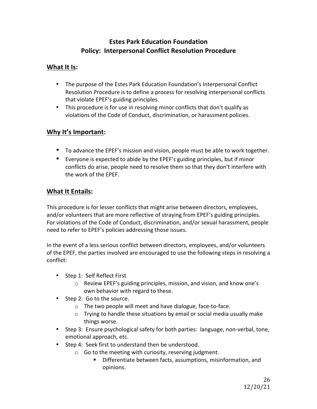#### **Estes Park Education Foundation Policy: Interpersonal Conflict Resolution Procedure**

#### **What It Is:**

- The purpose of the Estes Park Education Foundation's Interpersonal Conflict Resolution Procedure is to define a process for resolving interpersonal conflicts that violate EPEF's guiding principles.
- This procedure is for use in resolving minor conflicts that don't qualify as violations of the Code of Conduct, discrimination, or harassment policies.

#### **Why It's Important:**

- To advance the EPEF's mission and vision, people must be able to work together.
- Everyone is expected to abide by the EPEF's guiding principles, but if minor conflicts do arise, people need to resolve them so that they don't interfere with the work of the EPEF.

#### **What It Entails:**

This procedure is for lesser conflicts that might arise between directors, employees, and/or volunteers that are more reflective of straying from EPEF's guiding principles. For violations of the Code of Conduct, discrimination, and/or sexual harassment, people need to refer to EPEF's policies addressing those issues.

In the event of a less serious conflict between directors, employees, and/or volunteers of the EPEF, the parties involved are encouraged to use the following steps in resolving a conflict:

- Step 1: Self Reflect First
	- $\circ$  Review EPEF's guiding principles, mission, and vision, and know one's own behavior with regard to these.
- Step 2: Go to the source.
	- $\circ$  The two people will meet and have dialogue, face-to-face.
	- $\circ$  Trying to handle these situations by email or social media usually make things worse.
- Step 3: Ensure psychological safety for both parties: language, non-verbal, tone, emotional approach, etc.
- Step 4: Seek first to understand then be understood.
	- $\circ$  Go to the meeting with curiosity, reserving judgment.
		- Differentiate between facts, assumptions, misinformation, and opinions.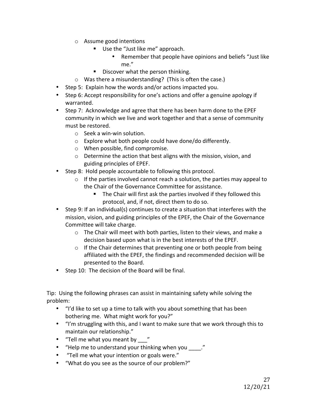- $\circ$  Assume good intentions
	- Use the "Just like me" approach.
		- Remember that people have opinions and beliefs "Just like me."
	- Discover what the person thinking.
- $\circ$  Was there a misunderstanding? (This is often the case.)
- Step 5: Explain how the words and/or actions impacted you.
- Step 6: Accept responsibility for one's actions and offer a genuine apology if warranted.
- Step 7: Acknowledge and agree that there has been harm done to the EPEF community in which we live and work together and that a sense of community must be restored.
	- $\circ$  Seek a win-win solution.
	- $\circ$  Explore what both people could have done/do differently.
	- $\circ$  When possible, find compromise.
	- $\circ$  Determine the action that best aligns with the mission, vision, and guiding principles of EPEF.
- Step 8: Hold people accountable to following this protocol.
	- $\circ$  If the parties involved cannot reach a solution, the parties may appeal to the Chair of the Governance Committee for assistance.
		- $\blacksquare$  The Chair will first ask the parties involved if they followed this protocol, and, if not, direct them to do so.
- Step 9: If an individual(s) continues to create a situation that interferes with the mission, vision, and guiding principles of the EPEF, the Chair of the Governance Committee will take charge.
	- $\circ$  The Chair will meet with both parties, listen to their views, and make a decision based upon what is in the best interests of the EPEF.
	- $\circ$  If the Chair determines that preventing one or both people from being affiliated with the EPEF, the findings and recommended decision will be presented to the Board.
- Step 10: The decision of the Board will be final.

Tip: Using the following phrases can assist in maintaining safety while solving the problem:

- "I'd like to set up a time to talk with you about something that has been bothering me. What might work for you?"
- "I'm struggling with this, and I want to make sure that we work through this to maintain our relationship."
- "Tell me what you meant by "
- "Help me to understand your thinking when you \_\_\_\_."
- "Tell me what your intention or goals were."
- "What do you see as the source of our problem?"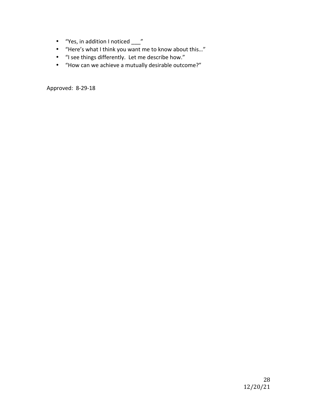- "Yes, in addition I noticed \_\_\_"
- "Here's what I think you want me to know about this..."
- "I see things differently. Let me describe how."
- "How can we achieve a mutually desirable outcome?"

Approved: 8-29-18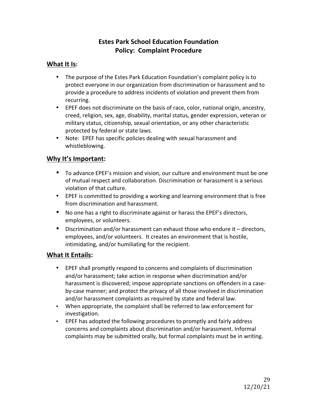#### **Estes Park School Education Foundation Policy: Complaint Procedure**

#### **What It Is:**

- The purpose of the Estes Park Education Foundation's complaint policy is to protect everyone in our organization from discrimination or harassment and to provide a procedure to address incidents of violation and prevent them from recurring.
- EPEF does not discriminate on the basis of race, color, national origin, ancestry, creed, religion, sex, age, disability, marital status, gender expression, veteran or military status, citizenship, sexual orientation, or any other characteristic protected by federal or state laws.
- Note: EPEF has specific policies dealing with sexual harassment and whistleblowing.

#### **Why It's Important:**

- To advance EPEF's mission and vision, our culture and environment must be one of mutual respect and collaboration. Discrimination or harassment is a serious violation of that culture.
- EPEF is committed to providing a working and learning environment that is free from discrimination and harassment.
- No one has a right to discriminate against or harass the EPEF's directors, employees, or volunteers.
- Discrimination and/or harassment can exhaust those who endure it directors, employees, and/or volunteers. It creates an environment that is hostile, intimidating, and/or humiliating for the recipient.

#### **What It Entails:**

- EPEF shall promptly respond to concerns and complaints of discrimination and/or harassment; take action in response when discrimination and/or harassment is discovered; impose appropriate sanctions on offenders in a caseby-case manner; and protect the privacy of all those involved in discrimination and/or harassment complaints as required by state and federal law.
- When appropriate, the complaint shall be referred to law enforcement for investigation.
- EPEF has adopted the following procedures to promptly and fairly address concerns and complaints about discrimination and/or harassment. Informal complaints may be submitted orally, but formal complaints must be in writing.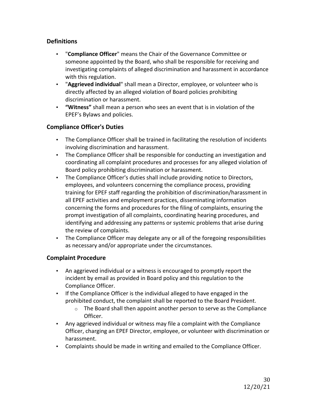#### **Definitions**

- "Compliance Officer" means the Chair of the Governance Committee or someone appointed by the Board, who shall be responsible for receiving and investigating complaints of alleged discrimination and harassment in accordance with this regulation.
- "Aggrieved individual" shall mean a Director, employee, or volunteer who is directly affected by an alleged violation of Board policies prohibiting discrimination or harassment.
- **"Witness"** shall mean a person who sees an event that is in violation of the EPEF's Bylaws and policies.

#### **Compliance Officer's Duties**

- The Compliance Officer shall be trained in facilitating the resolution of incidents involving discrimination and harassment.
- The Compliance Officer shall be responsible for conducting an investigation and coordinating all complaint procedures and processes for any alleged violation of Board policy prohibiting discrimination or harassment.
- The Compliance Officer's duties shall include providing notice to Directors, employees, and volunteers concerning the compliance process, providing training for EPEF staff regarding the prohibition of discrimination/harassment in all EPEF activities and employment practices, disseminating information concerning the forms and procedures for the filing of complaints, ensuring the prompt investigation of all complaints, coordinating hearing procedures, and identifying and addressing any patterns or systemic problems that arise during the review of complaints.
- The Compliance Officer may delegate any or all of the foregoing responsibilities as necessary and/or appropriate under the circumstances.

#### **Complaint Procedure**

- An aggrieved individual or a witness is encouraged to promptly report the incident by email as provided in Board policy and this regulation to the Compliance Officer.
- If the Compliance Officer is the individual alleged to have engaged in the prohibited conduct, the complaint shall be reported to the Board President.
	- $\circ$  The Board shall then appoint another person to serve as the Compliance Officer.
- Any aggrieved individual or witness may file a complaint with the Compliance Officer, charging an EPEF Director, employee, or volunteer with discrimination or harassment.
- Complaints should be made in writing and emailed to the Compliance Officer.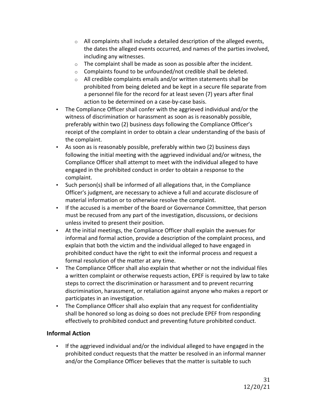- $\circ$  All complaints shall include a detailed description of the alleged events, the dates the alleged events occurred, and names of the parties involved, including any witnesses.
- $\circ$  The complaint shall be made as soon as possible after the incident.
- $\circ$  Complaints found to be unfounded/not credible shall be deleted.
- $\circ$  All credible complaints emails and/or written statements shall be prohibited from being deleted and be kept in a secure file separate from a personnel file for the record for at least seven (7) years after final action to be determined on a case-by-case basis.
- The Compliance Officer shall confer with the aggrieved individual and/or the witness of discrimination or harassment as soon as is reasonably possible, preferably within two (2) business days following the Compliance Officer's receipt of the complaint in order to obtain a clear understanding of the basis of the complaint.
- As soon as is reasonably possible, preferably within two (2) business days following the initial meeting with the aggrieved individual and/or witness, the Compliance Officer shall attempt to meet with the individual alleged to have engaged in the prohibited conduct in order to obtain a response to the complaint.
- Such person(s) shall be informed of all allegations that, in the Compliance Officer's judgment, are necessary to achieve a full and accurate disclosure of material information or to otherwise resolve the complaint.
- If the accused is a member of the Board or Governance Committee, that person must be recused from any part of the investigation, discussions, or decisions unless invited to present their position.
- At the initial meetings, the Compliance Officer shall explain the avenues for informal and formal action, provide a description of the complaint process, and explain that both the victim and the individual alleged to have engaged in prohibited conduct have the right to exit the informal process and request a formal resolution of the matter at any time.
- The Compliance Officer shall also explain that whether or not the individual files a written complaint or otherwise requests action, EPEF is required by law to take steps to correct the discrimination or harassment and to prevent recurring discrimination, harassment, or retaliation against anyone who makes a report or participates in an investigation.
- The Compliance Officer shall also explain that any request for confidentiality shall be honored so long as doing so does not preclude EPEF from responding effectively to prohibited conduct and preventing future prohibited conduct.

#### **Informal Action**

• If the aggrieved individual and/or the individual alleged to have engaged in the prohibited conduct requests that the matter be resolved in an informal manner and/or the Compliance Officer believes that the matter is suitable to such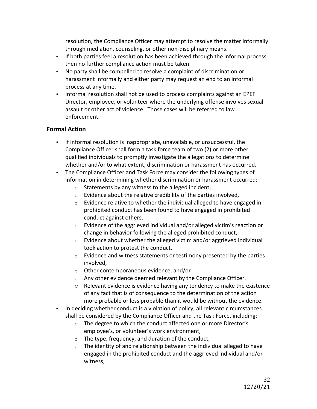resolution, the Compliance Officer may attempt to resolve the matter informally through mediation, counseling, or other non-disciplinary means.

- If both parties feel a resolution has been achieved through the informal process, then no further compliance action must be taken.
- No party shall be compelled to resolve a complaint of discrimination or harassment informally and either party may request an end to an informal process at any time.
- Informal resolution shall not be used to process complaints against an EPEF Director, employee, or volunteer where the underlying offense involves sexual assault or other act of violence. Those cases will be referred to law enforcement.

#### **Formal Action**

- If informal resolution is inappropriate, unavailable, or unsuccessful, the Compliance Officer shall form a task force team of two (2) or more other qualified individuals to promptly investigate the allegations to determine whether and/or to what extent, discrimination or harassment has occurred.
- The Compliance Officer and Task Force may consider the following types of information in determining whether discrimination or harassment occurred:
	- $\circ$  Statements by any witness to the alleged incident,
	- $\circ$  Evidence about the relative credibility of the parties involved,
	- $\circ$  Evidence relative to whether the individual alleged to have engaged in prohibited conduct has been found to have engaged in prohibited conduct against others,
	- $\circ$  Evidence of the aggrieved individual and/or alleged victim's reaction or change in behavior following the alleged prohibited conduct,
	- $\circ$  Evidence about whether the alleged victim and/or aggrieved individual took action to protest the conduct,
	- $\circ$  Evidence and witness statements or testimony presented by the parties involved,
	- $\circ$  Other contemporaneous evidence, and/or
	- $\circ$  Any other evidence deemed relevant by the Compliance Officer.
	- $\circ$  Relevant evidence is evidence having any tendency to make the existence of any fact that is of consequence to the determination of the action more probable or less probable than it would be without the evidence.
- In deciding whether conduct is a violation of policy, all relevant circumstances shall be considered by the Compliance Officer and the Task Force, including:
	- $\circ$  The degree to which the conduct affected one or more Director's, employee's, or volunteer's work environment,
	- $\circ$  The type, frequency, and duration of the conduct,
	- $\circ$  The identity of and relationship between the individual alleged to have engaged in the prohibited conduct and the aggrieved individual and/or witness,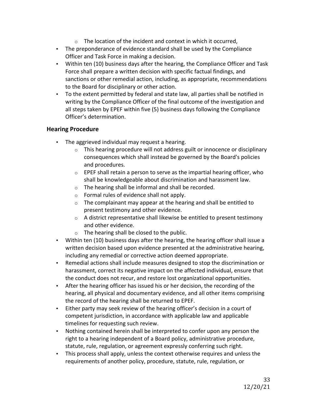- $\circ$  The location of the incident and context in which it occurred,
- The preponderance of evidence standard shall be used by the Compliance Officer and Task Force in making a decision.
- Within ten (10) business days after the hearing, the Compliance Officer and Task Force shall prepare a written decision with specific factual findings, and sanctions or other remedial action, including, as appropriate, recommendations to the Board for disciplinary or other action.
- To the extent permitted by federal and state law, all parties shall be notified in writing by the Compliance Officer of the final outcome of the investigation and all steps taken by EPEF within five (5) business days following the Compliance Officer's determination.

#### **Hearing Procedure**

- The aggrieved individual may request a hearing.
	- $\circ$  This hearing procedure will not address guilt or innocence or disciplinary consequences which shall instead be governed by the Board's policies and procedures.
	- $\circ$  EPEF shall retain a person to serve as the impartial hearing officer, who shall be knowledgeable about discrimination and harassment law.
	- $\circ$  The hearing shall be informal and shall be recorded.
	- $\circ$  Formal rules of evidence shall not apply.
	- $\circ$  The complainant may appear at the hearing and shall be entitled to present testimony and other evidence.
	- $\circ$  A district representative shall likewise be entitled to present testimony and other evidence.
	- $\circ$  The hearing shall be closed to the public.
- Within ten (10) business days after the hearing, the hearing officer shall issue a written decision based upon evidence presented at the administrative hearing, including any remedial or corrective action deemed appropriate.
- Remedial actions shall include measures designed to stop the discrimination or harassment, correct its negative impact on the affected individual, ensure that the conduct does not recur, and restore lost organizational opportunities.
- After the hearing officer has issued his or her decision, the recording of the hearing, all physical and documentary evidence, and all other items comprising the record of the hearing shall be returned to EPEF.
- Either party may seek review of the hearing officer's decision in a court of competent jurisdiction, in accordance with applicable law and applicable timelines for requesting such review.
- Nothing contained herein shall be interpreted to confer upon any person the right to a hearing independent of a Board policy, administrative procedure, statute, rule, regulation, or agreement expressly conferring such right.
- This process shall apply, unless the context otherwise requires and unless the requirements of another policy, procedure, statute, rule, regulation, or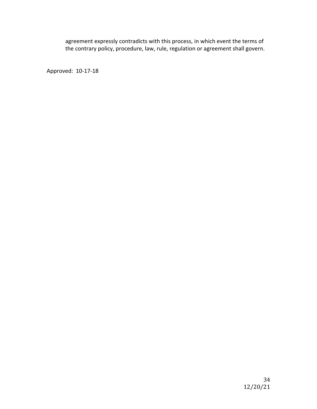agreement expressly contradicts with this process, in which event the terms of the contrary policy, procedure, law, rule, regulation or agreement shall govern.

Approved: 10-17-18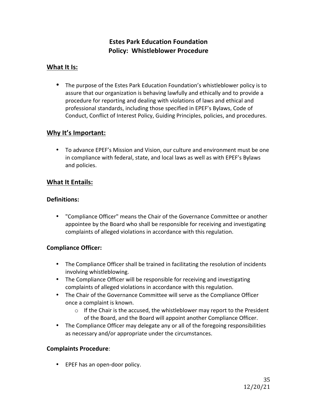#### **Estes Park Education Foundation Policy: Whistleblower Procedure**

#### **What It Is:**

• The purpose of the Estes Park Education Foundation's whistleblower policy is to assure that our organization is behaving lawfully and ethically and to provide a procedure for reporting and dealing with violations of laws and ethical and professional standards, including those specified in EPEF's Bylaws, Code of Conduct, Conflict of Interest Policy, Guiding Principles, policies, and procedures.

#### **Why It's Important:**

• To advance EPEF's Mission and Vision, our culture and environment must be one in compliance with federal, state, and local laws as well as with EPEF's Bylaws and policies.

#### **What It Entails:**

#### **Definitions:**

• "Compliance Officer" means the Chair of the Governance Committee or another appointee by the Board who shall be responsible for receiving and investigating complaints of alleged violations in accordance with this regulation.

#### **Compliance Officer:**

- The Compliance Officer shall be trained in facilitating the resolution of incidents involving whistleblowing.
- The Compliance Officer will be responsible for receiving and investigating complaints of alleged violations in accordance with this regulation.
- The Chair of the Governance Committee will serve as the Compliance Officer once a complaint is known.
	- $\circ$  If the Chair is the accused, the whistleblower may report to the President of the Board, and the Board will appoint another Compliance Officer.
- The Compliance Officer may delegate any or all of the foregoing responsibilities as necessary and/or appropriate under the circumstances.

#### **Complaints Procedure**:

• EPEF has an open-door policy.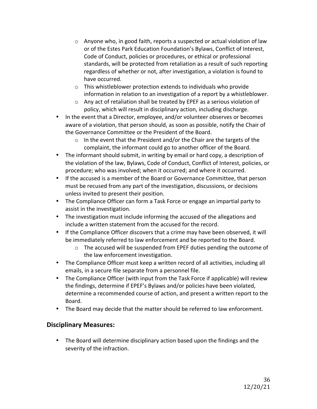- $\circ$  Anyone who, in good faith, reports a suspected or actual violation of law or of the Estes Park Education Foundation's Bylaws, Conflict of Interest, Code of Conduct, policies or procedures, or ethical or professional standards, will be protected from retaliation as a result of such reporting regardless of whether or not, after investigation, a violation is found to have occurred.
- $\circ$  This whistleblower protection extends to individuals who provide information in relation to an investigation of a report by a whistleblower.
- $\circ$  Any act of retaliation shall be treated by EPEF as a serious violation of policy, which will result in disciplinary action, including discharge.
- In the event that a Director, employee, and/or volunteer observes or becomes aware of a violation, that person should, as soon as possible, notify the Chair of the Governance Committee or the President of the Board.
	- $\circ$  In the event that the President and/or the Chair are the targets of the complaint, the informant could go to another officer of the Board.
- The informant should submit, in writing by email or hard copy, a description of the violation of the law, Bylaws, Code of Conduct, Conflict of Interest, policies, or procedure; who was involved; when it occurred; and where it occurred.
- If the accused is a member of the Board or Governance Committee, that person must be recused from any part of the investigation, discussions, or decisions unless invited to present their position.
- The Compliance Officer can form a Task Force or engage an impartial party to assist in the investigation.
- The investigation must include informing the accused of the allegations and include a written statement from the accused for the record.
- If the Compliance Officer discovers that a crime may have been observed, it will be immediately referred to law enforcement and be reported to the Board.
	- $\circ$  The accused will be suspended from EPEF duties pending the outcome of the law enforcement investigation.
- The Compliance Officer must keep a written record of all activities, including all emails, in a secure file separate from a personnel file.
- The Compliance Officer (with input from the Task Force if applicable) will review the findings, determine if EPEF's Bylaws and/or policies have been violated, determine a recommended course of action, and present a written report to the Board.
- The Board may decide that the matter should be referred to law enforcement.

#### **Disciplinary Measures:**

• The Board will determine disciplinary action based upon the findings and the severity of the infraction.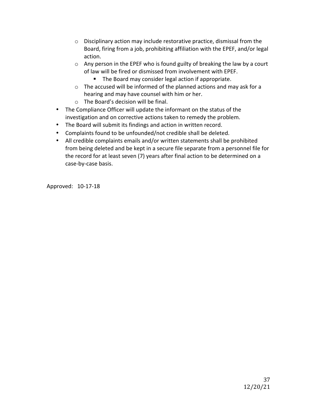- $\circ$  Disciplinary action may include restorative practice, dismissal from the Board, firing from a job, prohibiting affiliation with the EPEF, and/or legal action.
- $\circ$  Any person in the EPEF who is found guilty of breaking the law by a court of law will be fired or dismissed from involvement with EPEF.
	- The Board may consider legal action if appropriate.
- $\circ$  The accused will be informed of the planned actions and may ask for a hearing and may have counsel with him or her.
- $\circ$  The Board's decision will be final.
- The Compliance Officer will update the informant on the status of the investigation and on corrective actions taken to remedy the problem.
- The Board will submit its findings and action in written record.
- Complaints found to be unfounded/not credible shall be deleted.
- All credible complaints emails and/or written statements shall be prohibited from being deleted and be kept in a secure file separate from a personnel file for the record for at least seven (7) years after final action to be determined on a case-by-case basis.

Approved: 10-17-18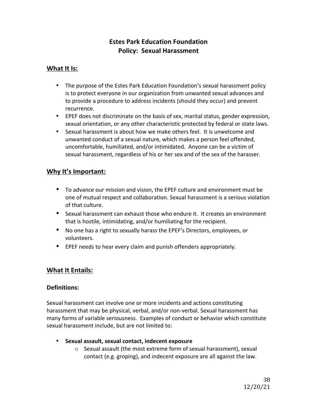### **Estes Park Education Foundation Policy: Sexual Harassment**

### **What It Is:**

- The purpose of the Estes Park Education Foundation's sexual harassment policy is to protect everyone in our organization from unwanted sexual advances and to provide a procedure to address incidents (should they occur) and prevent recurrence.
- EPEF does not discriminate on the basis of sex, marital status, gender expression, sexual orientation, or any other characteristic protected by federal or state laws.
- Sexual harassment is about how we make others feel. It is unwelcome and unwanted conduct of a sexual nature, which makes a person feel offended, uncomfortable, humiliated, and/or intimidated. Anyone can be a victim of sexual harassment, regardless of his or her sex and of the sex of the harasser.

### **Why It's Important:**

- To advance our mission and vision, the EPEF culture and environment must be one of mutual respect and collaboration. Sexual harassment is a serious violation of that culture.
- Sexual harassment can exhaust those who endure it. It creates an environment that is hostile, intimidating, and/or humiliating for the recipient.
- No one has a right to sexually harass the EPEF's Directors, employees, or volunteers.
- EPEF needs to hear every claim and punish offenders appropriately.

### **What It Entails:**

### **Definitions:**

Sexual harassment can involve one or more incidents and actions constituting harassment that may be physical, verbal, and/or non-verbal. Sexual harassment has many forms of variable seriousness. Examples of conduct or behavior which constitute sexual harassment include, but are not limited to:

- **Sexual assault, sexual contact, indecent exposure**
	- $\circ$  Sexual assault (the most extreme form of sexual harassment), sexual contact (e.g. groping), and indecent exposure are all against the law.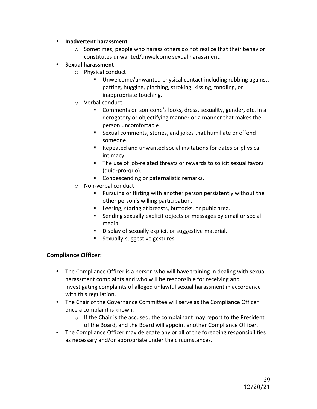- **•** Inadvertent harassment
	- $\circ$  Sometimes, people who harass others do not realize that their behavior constitutes unwanted/unwelcome sexual harassment.
- **Sexual harassment** 
	- $\circ$  Physical conduct
		- Unwelcome/unwanted physical contact including rubbing against, patting, hugging, pinching, stroking, kissing, fondling, or inappropriate touching.
	- $\circ$  Verbal conduct
		- Comments on someone's looks, dress, sexuality, gender, etc. in a derogatory or objectifying manner or a manner that makes the person uncomfortable.
		- Sexual comments, stories, and jokes that humiliate or offend someone.
		- Repeated and unwanted social invitations for dates or physical intimacy.
		- The use of job-related threats or rewards to solicit sexual favors (quid-pro-quo).
		- Condescending or paternalistic remarks.
	- $\circ$  Non-verbal conduct
		- Pursuing or flirting with another person persistently without the other person's willing participation.
		- Leering, staring at breasts, buttocks, or pubic area.
		- Sending sexually explicit objects or messages by email or social media.
		- Display of sexually explicit or suggestive material.
		- **Sexually-suggestive gestures.**

### **Compliance Officer:**

- The Compliance Officer is a person who will have training in dealing with sexual harassment complaints and who will be responsible for receiving and investigating complaints of alleged unlawful sexual harassment in accordance with this regulation.
- The Chair of the Governance Committee will serve as the Compliance Officer once a complaint is known.
	- $\circ$  If the Chair is the accused, the complainant may report to the President of the Board, and the Board will appoint another Compliance Officer.
- The Compliance Officer may delegate any or all of the foregoing responsibilities as necessary and/or appropriate under the circumstances.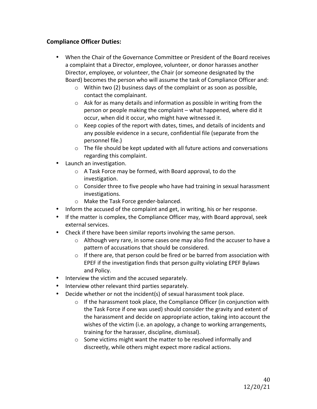### **Compliance Officer Duties:**

- When the Chair of the Governance Committee or President of the Board receives a complaint that a Director, employee, volunteer, or donor harasses another Director, employee, or volunteer, the Chair (or someone designated by the Board) becomes the person who will assume the task of Compliance Officer and:
	- $\circ$  Within two (2) business days of the complaint or as soon as possible, contact the complainant.
	- $\circ$  Ask for as many details and information as possible in writing from the person or people making the complaint – what happened, where did it occur, when did it occur, who might have witnessed it.
	- $\circ$  Keep copies of the report with dates, times, and details of incidents and any possible evidence in a secure, confidential file (separate from the personnel file.)
	- $\circ$  The file should be kept updated with all future actions and conversations regarding this complaint.
- **Launch an investigation.** 
	- $\circ$  A Task Force may be formed, with Board approval, to do the investigation.
	- $\circ$  Consider three to five people who have had training in sexual harassment investigations.
	- o Make the Task Force gender-balanced.
- Inform the accused of the complaint and get, in writing, his or her response.
- If the matter is complex, the Compliance Officer may, with Board approval, seek external services.
- Check if there have been similar reports involving the same person.
	- $\circ$  Although very rare, in some cases one may also find the accuser to have a pattern of accusations that should be considered.
	- $\circ$  If there are, that person could be fired or be barred from association with EPEF if the investigation finds that person guilty violating EPEF Bylaws and Policy.
- Interview the victim and the accused separately.
- Interview other relevant third parties separately.
- Decide whether or not the incident(s) of sexual harassment took place.
	- $\circ$  If the harassment took place, the Compliance Officer (in conjunction with the Task Force if one was used) should consider the gravity and extent of the harassment and decide on appropriate action, taking into account the wishes of the victim (i.e. an apology, a change to working arrangements, training for the harasser, discipline, dismissal).
	- $\circ$  Some victims might want the matter to be resolved informally and discreetly, while others might expect more radical actions.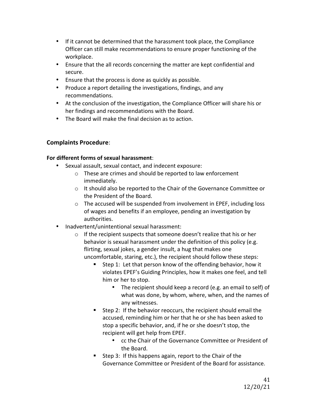- If it cannot be determined that the harassment took place, the Compliance Officer can still make recommendations to ensure proper functioning of the workplace.
- Ensure that the all records concerning the matter are kept confidential and secure.
- Ensure that the process is done as quickly as possible.
- Produce a report detailing the investigations, findings, and any recommendations.
- At the conclusion of the investigation, the Compliance Officer will share his or her findings and recommendations with the Board.
- $\bullet$  The Board will make the final decision as to action.

### **Complaints Procedure**:

### For different forms of sexual harassment:

- Sexual assault, sexual contact, and indecent exposure:
	- $\circ$  These are crimes and should be reported to law enforcement immediately.
	- $\circ$  It should also be reported to the Chair of the Governance Committee or the President of the Board.
	- $\circ$  The accused will be suspended from involvement in EPEF, including loss of wages and benefits if an employee, pending an investigation by authorities.
- Inadvertent/unintentional sexual harassment:
	- $\circ$  If the recipient suspects that someone doesn't realize that his or her behavior is sexual harassment under the definition of this policy (e.g. flirting, sexual jokes, a gender insult, a hug that makes one uncomfortable, staring, etc.), the recipient should follow these steps:
		- Step 1: Let that person know of the offending behavior, how it violates EPEF's Guiding Principles, how it makes one feel, and tell him or her to stop.
			- The recipient should keep a record (e.g. an email to self) of what was done, by whom, where, when, and the names of any witnesses.
		- Step 2: If the behavior reoccurs, the recipient should email the accused, reminding him or her that he or she has been asked to stop a specific behavior, and, if he or she doesn't stop, the recipient will get help from EPEF.
			- cc the Chair of the Governance Committee or President of the Board.
		- Step 3: If this happens again, report to the Chair of the Governance Committee or President of the Board for assistance.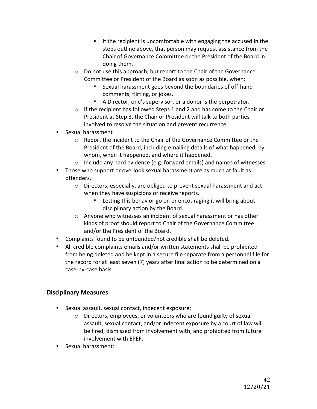- **F** If the recipient is uncomfortable with engaging the accused in the steps outline above, that person may request assistance from the Chair of Governance Committee or the President of the Board in doing them.
- $\circ$  Do not use this approach, but report to the Chair of the Governance Committee or President of the Board as soon as possible, when:
	- Sexual harassment goes beyond the boundaries of off-hand comments, flirting, or jokes.
	- A Director, one's supervisor, or a donor is the perpetrator.
- $\circ$  If the recipient has followed Steps 1 and 2 and has come to the Chair or President at Step 3, the Chair or President will talk to both parties involved to resolve the situation and prevent recurrence.
- Sexual harassment
	- $\circ$  Report the incident to the Chair of the Governance Committee or the President of the Board, including emailing details of what happened, by whom, when it happened, and where it happened.
	- $\circ$  Include any hard evidence (e.g. forward emails) and names of witnesses.
- Those who support or overlook sexual harassment are as much at fault as offenders.
	- o Directors, especially, are obliged to prevent sexual harassment and act when they have suspicions or receive reports.
		- Letting this behavior go on or encouraging it will bring about disciplinary action by the Board.
	- $\circ$  Anyone who witnesses an incident of sexual harassment or has other kinds of proof should report to Chair of the Governance Committee and/or the President of the Board.
- Complaints found to be unfounded/not credible shall be deleted.
- All credible complaints emails and/or written statements shall be prohibited from being deleted and be kept in a secure file separate from a personnel file for the record for at least seven (7) years after final action to be determined on a case-by-case basis.

### **Disciplinary Measures**:

- Sexual assault, sexual contact, indecent exposure:
	- $\circ$  Directors, employees, or volunteers who are found guilty of sexual assault, sexual contact, and/or indecent exposure by a court of law will be fired, dismissed from involvement with, and prohibited from future involvement with EPEF.
- Sexual harassment: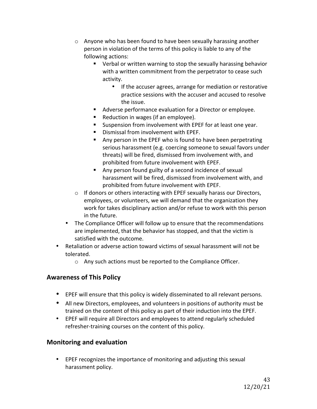- $\circ$  Anyone who has been found to have been sexually harassing another person in violation of the terms of this policy is liable to any of the following actions:
	- $\blacksquare$  Verbal or written warning to stop the sexually harassing behavior with a written commitment from the perpetrator to cease such activity.
		- If the accuser agrees, arrange for mediation or restorative practice sessions with the accuser and accused to resolve the issue.
	- Adverse performance evaluation for a Director or employee.
	- Reduction in wages (if an employee).
	- Suspension from involvement with EPEF for at least one year.
	- Dismissal from involvement with FPFF.
	- Any person in the EPEF who is found to have been perpetrating serious harassment (e.g. coercing someone to sexual favors under threats) will be fired, dismissed from involvement with, and prohibited from future involvement with EPEF.
	- Any person found guilty of a second incidence of sexual harassment will be fired, dismissed from involvement with, and prohibited from future involvement with EPEF.
- $\circ$  If donors or others interacting with EPEF sexually harass our Directors, employees, or volunteers, we will demand that the organization they work for takes disciplinary action and/or refuse to work with this person in the future.
- The Compliance Officer will follow up to ensure that the recommendations are implemented, that the behavior has stopped, and that the victim is satisfied with the outcome.
- Retaliation or adverse action toward victims of sexual harassment will not be tolerated.
	- $\circ$  Any such actions must be reported to the Compliance Officer.

### **Awareness of This Policy**

- EPEF will ensure that this policy is widely disseminated to all relevant persons.
- All new Directors, employees, and volunteers in positions of authority must be trained on the content of this policy as part of their induction into the EPEF.
- EPEF will require all Directors and employees to attend regularly scheduled refresher-training courses on the content of this policy.

### **Monitoring and evaluation**

• EPEF recognizes the importance of monitoring and adjusting this sexual harassment policy.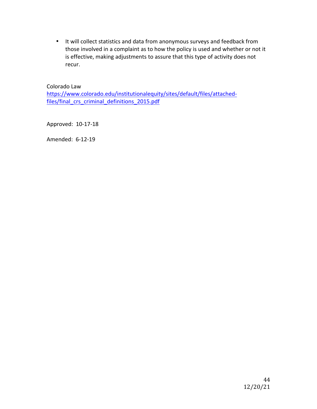• It will collect statistics and data from anonymous surveys and feedback from those involved in a complaint as to how the policy is used and whether or not it is effective, making adjustments to assure that this type of activity does not recur. 

Colorado Law

https://www.colorado.edu/institutionalequity/sites/default/files/attachedfiles/final\_crs\_criminal\_definitions\_2015.pdf

Approved: 10-17-18

Amended: 6-12-19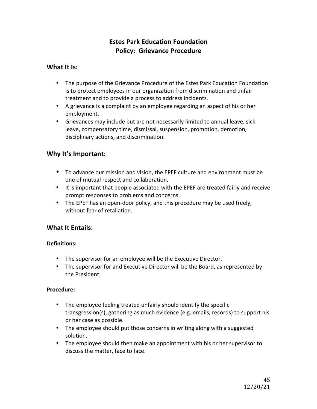### **Estes Park Education Foundation Policy: Grievance Procedure**

### **What It Is:**

- The purpose of the Grievance Procedure of the Estes Park Education Foundation is to protect employees in our organization from discrimination and unfair treatment and to provide a process to address incidents.
- A grievance is a complaint by an employee regarding an aspect of his or her employment.
- Grievances may include but are not necessarily limited to annual leave, sick leave, compensatory time, dismissal, suspension, promotion, demotion, disciplinary actions, and discrimination.

### **Why It's Important:**

- To advance our mission and vision, the EPEF culture and environment must be one of mutual respect and collaboration.
- It is important that people associated with the EPEF are treated fairly and receive prompt responses to problems and concerns.
- The EPEF has an open-door policy, and this procedure may be used freely, without fear of retaliation.

### **What It Entails:**

### **Definitions:**

- The supervisor for an employee will be the Executive Director.
- The supervisor for and Executive Director will be the Board, as represented by the President.

### **Procedure:**

- The employee feeling treated unfairly should identify the specific transgression(s), gathering as much evidence (e.g. emails, records) to support his or her case as possible.
- The employee should put those concerns in writing along with a suggested solution.
- The employee should then make an appointment with his or her supervisor to discuss the matter, face to face.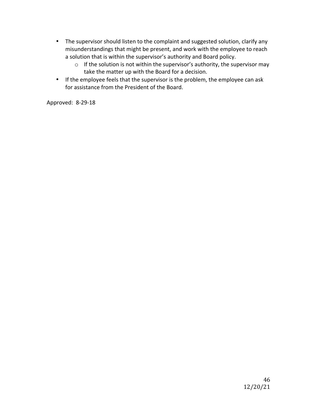- The supervisor should listen to the complaint and suggested solution, clarify any misunderstandings that might be present, and work with the employee to reach a solution that is within the supervisor's authority and Board policy.
	- $\circ$  If the solution is not within the supervisor's authority, the supervisor may take the matter up with the Board for a decision.
- If the employee feels that the supervisor is the problem, the employee can ask for assistance from the President of the Board.

Approved: 8-29-18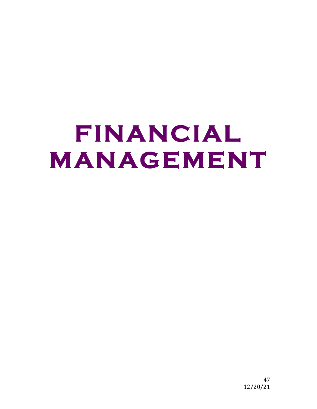# **FINANCIAL MANAGEMENT**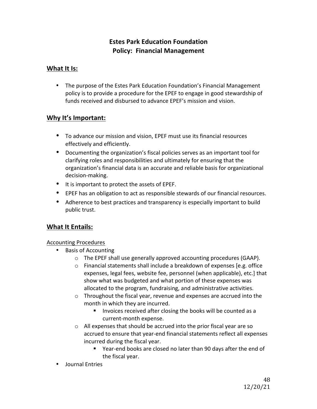### **Estes Park Education Foundation Policy: Financial Management**

### **What It Is:**

• The purpose of the Estes Park Education Foundation's Financial Management policy is to provide a procedure for the EPEF to engage in good stewardship of funds received and disbursed to advance EPEF's mission and vision.

### **Why It's Important:**

- To advance our mission and vision, EPEF must use its financial resources effectively and efficiently.
- Documenting the organization's fiscal policies serves as an important tool for clarifying roles and responsibilities and ultimately for ensuring that the organization's financial data is an accurate and reliable basis for organizational decision-making.
- It is important to protect the assets of EPEF.
- EPEF has an obligation to act as responsible stewards of our financial resources.
- Adherence to best practices and transparency is especially important to build public trust.

### **What It Entails:**

### **Accounting Procedures**

- **Basis of Accounting** 
	- o The EPEF shall use generally approved accounting procedures (GAAP).
	- $\circ$  Financial statements shall include a breakdown of expenses [e.g. office expenses, legal fees, website fee, personnel (when applicable), etc.] that show what was budgeted and what portion of these expenses was allocated to the program, fundraising, and administrative activities.
	- $\circ$  Throughout the fiscal year, revenue and expenses are accrued into the month in which they are incurred.
		- **E** Invoices received after closing the books will be counted as a current-month expense.
	- $\circ$  All expenses that should be accrued into the prior fiscal year are so accrued to ensure that year-end financial statements reflect all expenses incurred during the fiscal year.
		- Year-end books are closed no later than 90 days after the end of the fiscal year.
- Journal Entries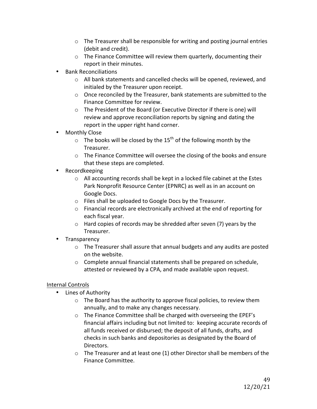- $\circ$  The Treasurer shall be responsible for writing and posting journal entries (debit and credit).
- $\circ$  The Finance Committee will review them quarterly, documenting their report in their minutes.
- Bank Reconciliations
	- o All bank statements and cancelled checks will be opened, reviewed, and initialed by the Treasurer upon receipt.
	- $\circ$  Once reconciled by the Treasurer, bank statements are submitted to the Finance Committee for review.
	- o The President of the Board (or Executive Director if there is one) will review and approve reconciliation reports by signing and dating the report in the upper right hand corner.
- Monthly Close
	- $\circ$  The books will be closed by the 15<sup>th</sup> of the following month by the Treasurer.
	- $\circ$  The Finance Committee will oversee the closing of the books and ensure that these steps are completed.
- Recordkeeping
	- $\circ$  All accounting records shall be kept in a locked file cabinet at the Estes Park Nonprofit Resource Center (EPNRC) as well as in an account on Google Docs.
	- $\circ$  Files shall be uploaded to Google Docs by the Treasurer.
	- $\circ$  Financial records are electronically archived at the end of reporting for each fiscal year.
	- $\circ$  Hard copies of records may be shredded after seven (7) years by the Treasurer.
- Transparency
	- $\circ$  The Treasurer shall assure that annual budgets and any audits are posted on the website.
	- $\circ$  Complete annual financial statements shall be prepared on schedule, attested or reviewed by a CPA, and made available upon request.

### Internal Controls

- Lines of Authority
	- $\circ$  The Board has the authority to approve fiscal policies, to review them annually, and to make any changes necessary.
	- o The Finance Committee shall be charged with overseeing the EPEF's financial affairs including but not limited to: keeping accurate records of all funds received or disbursed; the deposit of all funds, drafts, and checks in such banks and depositories as designated by the Board of Directors.
	- $\circ$  The Treasurer and at least one (1) other Director shall be members of the Finance Committee.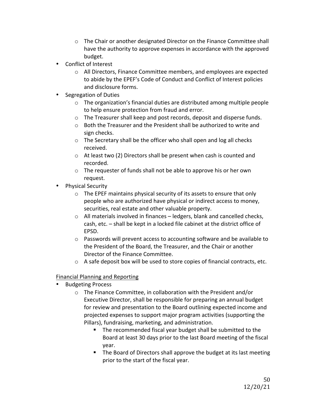- $\circ$  The Chair or another designated Director on the Finance Committee shall have the authority to approve expenses in accordance with the approved budget.
- Conflict of Interest
	- $\circ$  All Directors, Finance Committee members, and employees are expected to abide by the EPEF's Code of Conduct and Conflict of Interest policies and disclosure forms.
- Segregation of Duties
	- $\circ$  The organization's financial duties are distributed among multiple people to help ensure protection from fraud and error.
	- $\circ$  The Treasurer shall keep and post records, deposit and disperse funds.
	- $\circ$  Both the Treasurer and the President shall be authorized to write and sign checks.
	- $\circ$  The Secretary shall be the officer who shall open and log all checks received.
	- $\circ$  At least two (2) Directors shall be present when cash is counted and recorded.
	- $\circ$  The requester of funds shall not be able to approve his or her own request.
- Physical Security
	- $\circ$  The EPEF maintains physical security of its assets to ensure that only people who are authorized have physical or indirect access to money, securities, real estate and other valuable property.
	- $\circ$  All materials involved in finances ledgers, blank and cancelled checks, cash, etc. – shall be kept in a locked file cabinet at the district office of EPSD.
	- $\circ$  Passwords will prevent access to accounting software and be available to the President of the Board, the Treasurer, and the Chair or another Director of the Finance Committee.
	- $\circ$  A safe deposit box will be used to store copies of financial contracts, etc.

### Financial Planning and Reporting

- Budgeting Process
	- $\circ$  The Finance Committee, in collaboration with the President and/or Executive Director, shall be responsible for preparing an annual budget for review and presentation to the Board outlining expected income and projected expenses to support major program activities (supporting the Pillars), fundraising, marketing, and administration.
		- $\blacksquare$  The recommended fiscal year budget shall be submitted to the Board at least 30 days prior to the last Board meeting of the fiscal year.
		- The Board of Directors shall approve the budget at its last meeting prior to the start of the fiscal year.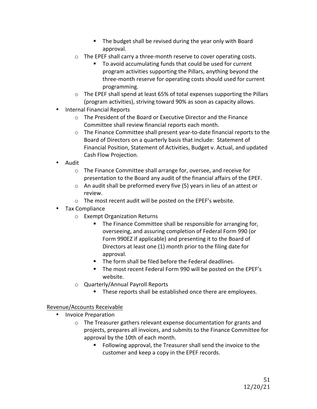- The budget shall be revised during the year only with Board approval.
- $\circ$  The EPEF shall carry a three-month reserve to cover operating costs.
	- To avoid accumulating funds that could be used for current program activities supporting the Pillars, anything beyond the three-month reserve for operating costs should used for current programming.
- $\circ$  The EPEF shall spend at least 65% of total expenses supporting the Pillars (program activities), striving toward 90% as soon as capacity allows.
- Internal Financial Reports
	- $\circ$  The President of the Board or Executive Director and the Finance Committee shall review financial reports each month.
	- $\circ$  The Finance Committee shall present year-to-date financial reports to the Board of Directors on a quarterly basis that include: Statement of Financial Position, Statement of Activities, Budget v. Actual, and updated Cash Flow Projection.
- Audit
	- $\circ$  The Finance Committee shall arrange for, oversee, and receive for presentation to the Board any audit of the financial affairs of the EPEF.
	- $\circ$  An audit shall be preformed every five (5) years in lieu of an attest or review.
	- $\circ$  The most recent audit will be posted on the EPEF's website.
- Tax Compliance
	- $\circ$  Exempt Organization Returns
		- The Finance Committee shall be responsible for arranging for, overseeing, and assuring completion of Federal Form 990 (or Form 990EZ if applicable) and presenting it to the Board of Directors at least one (1) month prior to the filing date for approval.
		- $\blacksquare$  The form shall be filed before the Federal deadlines.
		- The most recent Federal Form 990 will be posted on the EPEF's website.
	- $\circ$  Quarterly/Annual Payroll Reports
		- These reports shall be established once there are employees.

### Revenue/Accounts Receivable

- Invoice Preparation
	- $\circ$  The Treasurer gathers relevant expense documentation for grants and projects, prepares all invoices, and submits to the Finance Committee for approval by the 10th of each month.
		- Following approval, the Treasurer shall send the invoice to the customer and keep a copy in the EPEF records.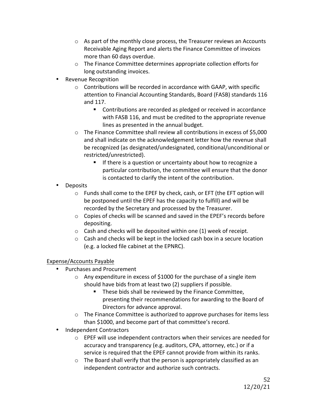- $\circ$  As part of the monthly close process, the Treasurer reviews an Accounts Receivable Aging Report and alerts the Finance Committee of invoices more than 60 days overdue.
- $\circ$  The Finance Committee determines appropriate collection efforts for long outstanding invoices.
- **Revenue Recognition** 
	- $\circ$  Contributions will be recorded in accordance with GAAP, with specific attention to Financial Accounting Standards, Board (FASB) standards 116 and 117.
		- Contributions are recorded as pledged or received in accordance with FASB 116, and must be credited to the appropriate revenue lines as presented in the annual budget.
	- $\circ$  The Finance Committee shall review all contributions in excess of \$5,000 and shall indicate on the acknowledgement letter how the revenue shall be recognized (as designated/undesignated, conditional/unconditional or restricted/unrestricted).
		- **F** If there is a question or uncertainty about how to recognize a particular contribution, the committee will ensure that the donor is contacted to clarify the intent of the contribution.
- Deposits
	- $\circ$  Funds shall come to the EPEF by check, cash, or EFT (the EFT option will be postponed until the EPEF has the capacity to fulfill) and will be recorded by the Secretary and processed by the Treasurer.
	- $\circ$  Copies of checks will be scanned and saved in the EPEF's records before depositing.
	- $\circ$  Cash and checks will be deposited within one (1) week of receipt.
	- $\circ$  Cash and checks will be kept in the locked cash box in a secure location (e.g. a locked file cabinet at the EPNRC).

### Expense/Accounts Payable

- Purchases and Procurement
	- $\circ$  Any expenditure in excess of \$1000 for the purchase of a single item should have bids from at least two (2) suppliers if possible.
		- These bids shall be reviewed by the Finance Committee, presenting their recommendations for awarding to the Board of Directors for advance approval.
	- $\circ$  The Finance Committee is authorized to approve purchases for items less than \$1000, and become part of that committee's record.
- Independent Contractors
	- $\circ$  EPEF will use independent contractors when their services are needed for accuracy and transparency (e.g. auditors, CPA, attorney, etc.) or if a service is required that the EPEF cannot provide from within its ranks.
	- $\circ$  The Board shall verify that the person is appropriately classified as an independent contractor and authorize such contracts.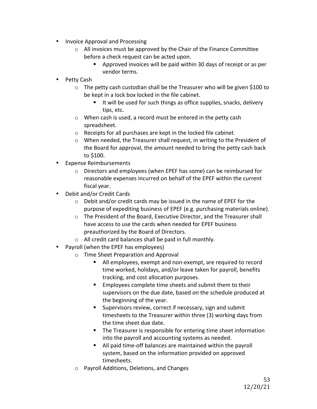- Invoice Approval and Processing
	- $\circ$  All invoices must be approved by the Chair of the Finance Committee before a check request can be acted upon.
		- Approved invoices will be paid within 30 days of receipt or as per vendor terms.
- Petty Cash
	- $\circ$  The petty cash custodian shall be the Treasurer who will be given \$100 to be kept in a lock box locked in the file cabinet.
		- $\blacksquare$  It will be used for such things as office supplies, snacks, delivery tips, etc.
	- $\circ$  When cash is used, a record must be entered in the petty cash spreadsheet.
	- $\circ$  Receipts for all purchases are kept in the locked file cabinet.
	- $\circ$  When needed, the Treasurer shall request, in writing to the President of the Board for approval, the amount needed to bring the petty cash back to \$100.
- Expense Reimbursements
	- $\circ$  Directors and employees (when EPEF has some) can be reimbursed for reasonable expenses incurred on behalf of the EPEF within the current fiscal year.
- Debit and/or Credit Cards
	- $\circ$  Debit and/or credit cards may be issued in the name of EPEF for the purpose of expediting business of EPEF (e.g. purchasing materials online).
	- $\circ$  The President of the Board, Executive Director, and the Treasurer shall have access to use the cards when needed for EPEF business preauthorized by the Board of Directors.
	- $\circ$  All credit card balances shall be paid in full monthly.
- Payroll (when the EPEF has employees)
	- $\circ$  Time Sheet Preparation and Approval
		- All employees, exempt and non-exempt, are required to record time worked, holidays, and/or leave taken for payroll, benefits tracking, and cost allocation purposes.
		- Employees complete time sheets and submit them to their supervisors on the due date, based on the schedule produced at the beginning of the year.
		- Supervisors review, correct if necessary, sign and submit timesheets to the Treasurer within three (3) working days from the time sheet due date.
		- The Treasurer is responsible for entering time sheet information into the payroll and accounting systems as needed.
		- All paid time-off balances are maintained within the payroll system, based on the information provided on approved timesheets.
	- o Payroll Additions, Deletions, and Changes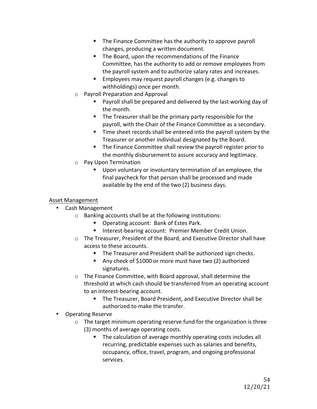- The Finance Committee has the authority to approve payroll changes, producing a written document.
- The Board, upon the recommendations of the Finance Committee, has the authority to add or remove employees from the payroll system and to authorize salary rates and increases.
- Employees may request payroll changes (e.g. changes to withholdings) once per month.
- $\circ$  Payroll Preparation and Approval
	- Payroll shall be prepared and delivered by the last working day of the month.
	- The Treasurer shall be the primary party responsible for the payroll, with the Chair of the Finance Committee as a secondary.
	- $\blacksquare$  Time sheet records shall be entered into the payroll system by the Treasurer or another individual designated by the Board.
	- The Finance Committee shall review the payroll register prior to the monthly disbursement to assure accuracy and legitimacy.
- o Pay Upon Termination
	- Upon voluntary or involuntary termination of an employee, the final paycheck for that person shall be processed and made available by the end of the two (2) business days.

### Asset Management

- Cash Management
	- $\circ$  Banking accounts shall be at the following institutions:
		- Operating account: Bank of Estes Park.
		- Interest-bearing account: Premier Member Credit Union.
	- o The Treasurer, President of the Board, and Executive Director shall have access to these accounts.
		- The Treasurer and President shall be authorized sign checks.
		- Any check of \$1000 or more must have two (2) authorized signatures.
	- $\circ$  The Finance Committee, with Board approval, shall determine the threshold at which cash should be transferred from an operating account to an interest-bearing account.
		- The Treasurer, Board President, and Executive Director shall be authorized to make the transfer.
- Operating Reserve
	- $\circ$  The target minimum operating reserve fund for the organization is three (3) months of average operating costs.
		- The calculation of average monthly operating costs includes all recurring, predictable expenses such as salaries and benefits, occupancy, office, travel, program, and ongoing professional services.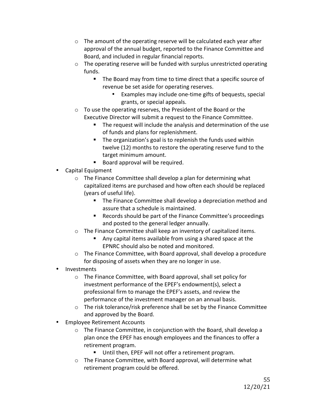- $\circ$  The amount of the operating reserve will be calculated each year after approval of the annual budget, reported to the Finance Committee and Board, and included in regular financial reports.
- $\circ$  The operating reserve will be funded with surplus unrestricted operating funds.
	- The Board may from time to time direct that a specific source of revenue be set aside for operating reserves.
		- Examples may include one-time gifts of bequests, special grants, or special appeals.
- $\circ$  To use the operating reserves, the President of the Board or the Executive Director will submit a request to the Finance Committee.
	- $\blacksquare$  The request will include the analysis and determination of the use of funds and plans for replenishment.
	- The organization's goal is to replenish the funds used within twelve (12) months to restore the operating reserve fund to the target minimum amount.
	- Board approval will be required.
- Capital Equipment
	- $\circ$  The Finance Committee shall develop a plan for determining what capitalized items are purchased and how often each should be replaced (years of useful life).
		- The Finance Committee shall develop a depreciation method and assure that a schedule is maintained.
		- Records should be part of the Finance Committee's proceedings and posted to the general ledger annually.
	- $\circ$  The Finance Committee shall keep an inventory of capitalized items.
		- Any capital items available from using a shared space at the EPNRC should also be noted and monitored.
	- $\circ$  The Finance Committee, with Board approval, shall develop a procedure for disposing of assets when they are no longer in use.
- Investments
	- $\circ$  The Finance Committee, with Board approval, shall set policy for investment performance of the EPEF's endowment(s), select a professional firm to manage the EPEF's assets, and review the performance of the investment manager on an annual basis.
	- $\circ$  The risk tolerance/risk preference shall be set by the Finance Committee and approved by the Board.
- Employee Retirement Accounts
	- $\circ$  The Finance Committee, in conjunction with the Board, shall develop a plan once the EPEF has enough employees and the finances to offer a retirement program.
		- Until then, EPEF will not offer a retirement program.
	- $\circ$  The Finance Committee, with Board approval, will determine what retirement program could be offered.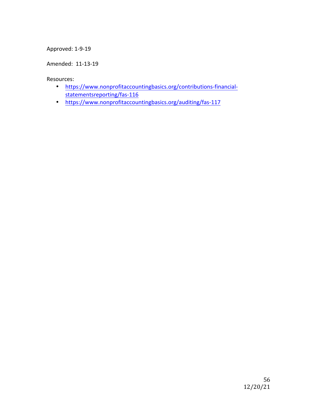### Approved: 1-9-19

Amended: 11-13-19

Resources:

- https://www.nonprofitaccountingbasics.org/contributions-financialstatementsreporting/fas-116
- https://www.nonprofitaccountingbasics.org/auditing/fas-117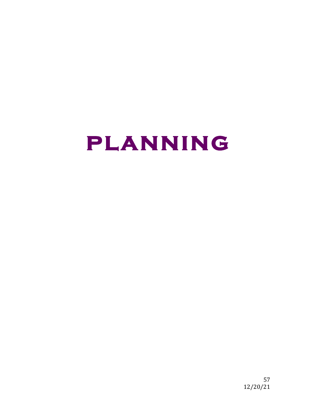## **planning**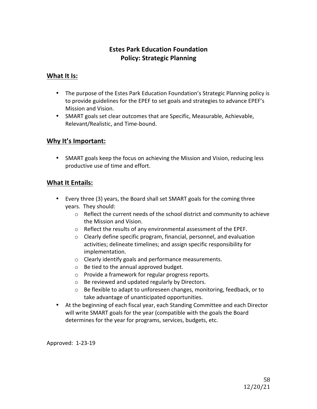### **Estes Park Education Foundation Policy: Strategic Planning**

### **What It Is:**

- The purpose of the Estes Park Education Foundation's Strategic Planning policy is to provide guidelines for the EPEF to set goals and strategies to advance EPEF's Mission and Vision.
- SMART goals set clear outcomes that are Specific, Measurable, Achievable, Relevant/Realistic, and Time-bound.

### **Why It's Important:**

• SMART goals keep the focus on achieving the Mission and Vision, reducing less productive use of time and effort.

### **What It Entails:**

- Every three (3) years, the Board shall set SMART goals for the coming three years. They should:
	- $\circ$  Reflect the current needs of the school district and community to achieve the Mission and Vision.
	- $\circ$  Reflect the results of any environmental assessment of the EPEF.
	- $\circ$  Clearly define specific program, financial, personnel, and evaluation activities; delineate timelines; and assign specific responsibility for implementation.
	- $\circ$  Clearly identify goals and performance measurements.
	- $\circ$  Be tied to the annual approved budget.
	- $\circ$  Provide a framework for regular progress reports.
	- $\circ$  Be reviewed and updated regularly by Directors.
	- $\circ$  Be flexible to adapt to unforeseen changes, monitoring, feedback, or to take advantage of unanticipated opportunities.
- At the beginning of each fiscal year, each Standing Committee and each Director will write SMART goals for the year (compatible with the goals the Board determines for the year for programs, services, budgets, etc.

Approved: 1-23-19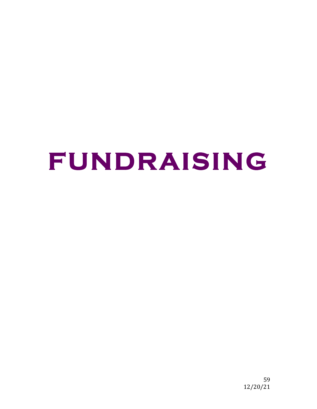## **FUNDRAISING**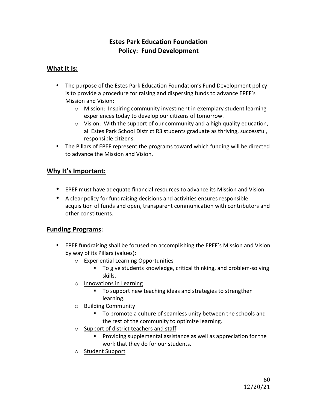### **Estes Park Education Foundation Policy: Fund Development**

### **What It Is:**

- The purpose of the Estes Park Education Foundation's Fund Development policy is to provide a procedure for raising and dispersing funds to advance EPEF's Mission and Vision:
	- $\circ$  Mission: Inspiring community investment in exemplary student learning experiences today to develop our citizens of tomorrow.
	- $\circ$  Vision: With the support of our community and a high quality education, all Estes Park School District R3 students graduate as thriving, successful, responsible citizens.
- The Pillars of EPEF represent the programs toward which funding will be directed to advance the Mission and Vision.

### **Why It's Important:**

- EPEF must have adequate financial resources to advance its Mission and Vision.
- A clear policy for fundraising decisions and activities ensures responsible acquisition of funds and open, transparent communication with contributors and other constituents.

### **Funding Programs:**

- EPEF fundraising shall be focused on accomplishing the EPEF's Mission and Vision by way of its Pillars (values):
	- $\circ$  Experiential Learning Opportunities
		- To give students knowledge, critical thinking, and problem-solving skills.
	- $\circ$  Innovations in Learning
		- To support new teaching ideas and strategies to strengthen learning.
	- o Building Community
		- To promote a culture of seamless unity between the schools and the rest of the community to optimize learning.
	- $\circ$  Support of district teachers and staff
		- Providing supplemental assistance as well as appreciation for the work that they do for our students.
	- o Student Support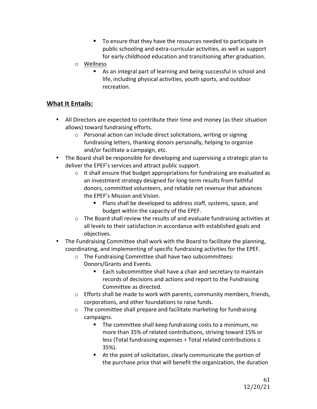- To ensure that they have the resources needed to participate in public schooling and extra-curricular activities, as well as support for early childhood education and transitioning after graduation.
- o Wellness
	- As an integral part of learning and being successful in school and life, including physical activities, youth sports, and outdoor recreation.

### **What It Entails:**

- All Directors are expected to contribute their time and money (as their situation allows) toward fundraising efforts.
	- $\circ$  Personal action can include direct solicitations, writing or signing fundraising letters, thanking donors personally, helping to organize and/or facilitate a campaign, etc.
- The Board shall be responsible for developing and supervising a strategic plan to deliver the EPEF's services and attract public support.
	- $\circ$  It shall ensure that budget appropriations for fundraising are evaluated as an investment strategy designed for long-term results from faithful donors, committed volunteers, and reliable net revenue that advances the EPEF's Mission and Vision.
		- Plans shall be developed to address staff, systems, space, and budget within the capacity of the EPEF.
	- $\circ$  The Board shall review the results of and evaluate fundraising activities at all levels to their satisfaction in accordance with established goals and objectives.
- The Fundraising Committee shall work with the Board to facilitate the planning, coordinating, and implementing of specific fundraising activities for the EPEF.
	- $\circ$  The Fundraising Committee shall have two subcommittees: Donors/Grants and Events.
		- Each subcommittee shall have a chair and secretary to maintain records of decisions and actions and report to the Fundraising Committee as directed.
	- $\circ$  Efforts shall be made to work with parents, community members, friends, corporations, and other foundations to raise funds.
	- $\circ$  The committee shall prepare and facilitate marketing for fundraising campaigns.
		- The committee shall keep fundraising costs to a minimum, no more than 35% of related contributions, striving toward 15% or less (Total fundraising expenses ÷ Total related contributions ≤ 35%).
		- $\blacksquare$  At the point of solicitation, clearly communicate the portion of the purchase price that will benefit the organization, the duration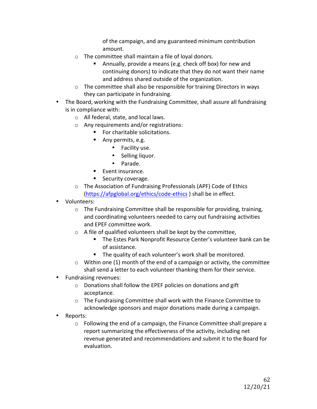of the campaign, and any guaranteed minimum contribution amount. 

- $\circ$  The committee shall maintain a file of loyal donors.
	- Annually, provide a means (e.g. check off box) for new and continuing donors) to indicate that they do not want their name and address shared outside of the organization.
- $\circ$  The committee shall also be responsible for training Directors in ways they can participate in fundraising.
- The Board, working with the Fundraising Committee, shall assure all fundraising is in compliance with:
	- $\circ$  All federal, state, and local laws.
	- $\circ$  Any requirements and/or registrations:
		- $\blacksquare$  For charitable solicitations.
			- Any permits, e.g.
				- Facility use.
				- Selling liquor.
				- Parade.
			- Event insurance.
			- Security coverage.
	- o The Association of Fundraising Professionals (APF) Code of Ethics  $(\text{https://afpglobal.org/ethics/code-ethics})$  shall be in effect.
- Volunteers:
	- $\circ$  The Fundraising Committee shall be responsible for providing, training, and coordinating volunteers needed to carry out fundraising activities and EPEF committee work.
	- $\circ$  A file of qualified volunteers shall be kept by the committee,
		- The Estes Park Nonprofit Resource Center's volunteer bank can be of assistance.
		- The quality of each volunteer's work shall be monitored.
	- $\circ$  Within one (1) month of the end of a campaign or activity, the committee shall send a letter to each volunteer thanking them for their service.
- **Fundraising revenues:** 
	- $\circ$  Donations shall follow the EPEF policies on donations and gift acceptance.
	- $\circ$  The Fundraising Committee shall work with the Finance Committee to acknowledge sponsors and major donations made during a campaign.
- Reports:
	- $\circ$  Following the end of a campaign, the Finance Committee shall prepare a report summarizing the effectiveness of the activity, including net revenue generated and recommendations and submit it to the Board for evaluation.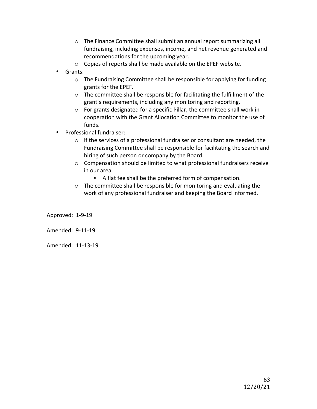- $\circ$  The Finance Committee shall submit an annual report summarizing all fundraising, including expenses, income, and net revenue generated and recommendations for the upcoming year.
- $\circ$  Copies of reports shall be made available on the EPEF website.
- Grants:
	- $\circ$  The Fundraising Committee shall be responsible for applying for funding grants for the EPEF.
	- $\circ$  The committee shall be responsible for facilitating the fulfillment of the grant's requirements, including any monitoring and reporting.
	- $\circ$  For grants designated for a specific Pillar, the committee shall work in cooperation with the Grant Allocation Committee to monitor the use of funds.
- Professional fundraiser:
	- $\circ$  If the services of a professional fundraiser or consultant are needed, the Fundraising Committee shall be responsible for facilitating the search and hiring of such person or company by the Board.
	- $\circ$  Compensation should be limited to what professional fundraisers receive in our area.
		- A flat fee shall be the preferred form of compensation.
	- $\circ$  The committee shall be responsible for monitoring and evaluating the work of any professional fundraiser and keeping the Board informed.

Approved: 1-9-19

Amended: 9-11-19

Amended: 11-13-19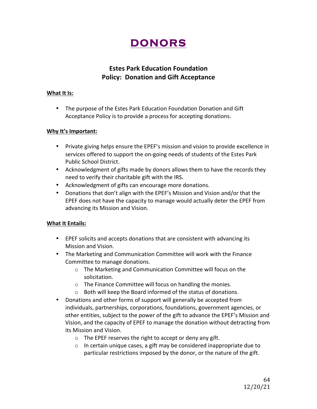### **DONORS**

### **Estes Park Education Foundation Policy: Donation and Gift Acceptance**

#### **What It Is:**

• The purpose of the Estes Park Education Foundation Donation and Gift Acceptance Policy is to provide a process for accepting donations.

### **Why It's Important:**

- Private giving helps ensure the EPEF's mission and vision to provide excellence in services offered to support the on-going needs of students of the Estes Park Public School District.
- Acknowledgment of gifts made by donors allows them to have the records they need to verify their charitable gift with the IRS.
- Acknowledgment of gifts can encourage more donations.
- Donations that don't align with the EPEF's Mission and Vision and/or that the EPEF does not have the capacity to manage would actually deter the EPEF from advancing its Mission and Vision.

### **What It Entails:**

- EPEF solicits and accepts donations that are consistent with advancing its Mission and Vision.
- The Marketing and Communication Committee will work with the Finance Committee to manage donations.
	- o The Marketing and Communication Committee will focus on the solicitation.
	- $\circ$  The Finance Committee will focus on handling the monies.
	- $\circ$  Both will keep the Board informed of the status of donations.
- Donations and other forms of support will generally be accepted from individuals, partnerships, corporations, foundations, government agencies, or other entities, subject to the power of the gift to advance the EPEF's Mission and Vision, and the capacity of EPEF to manage the donation without detracting from its Mission and Vision.
	- $\circ$  The EPEF reserves the right to accept or deny any gift.
	- $\circ$  In certain unique cases, a gift may be considered inappropriate due to particular restrictions imposed by the donor, or the nature of the gift.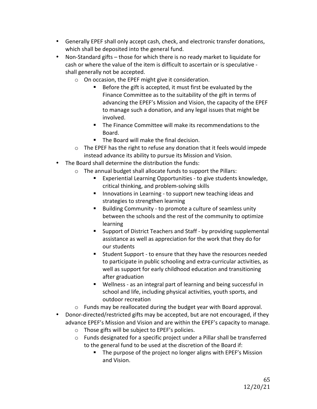- Generally EPEF shall only accept cash, check, and electronic transfer donations, which shall be deposited into the general fund.
- Non-Standard gifts those for which there is no ready market to liquidate for cash or where the value of the item is difficult to ascertain or is speculative shall generally not be accepted.
	- $\circ$  On occasion, the EPEF might give it consideration.
		- $\blacksquare$  Before the gift is accepted, it must first be evaluated by the Finance Committee as to the suitability of the gift in terms of advancing the EPEF's Mission and Vision, the capacity of the EPEF to manage such a donation, and any legal issues that might be involved.
		- The Finance Committee will make its recommendations to the Board.
		- The Board will make the final decision.
	- $\circ$  The EPEF has the right to refuse any donation that it feels would impede instead advance its ability to pursue its Mission and Vision.
- The Board shall determine the distribution the funds:
	- $\circ$  The annual budget shall allocate funds to support the Pillars:
		- Experiential Learning Opportunities to give students knowledge, critical thinking, and problem-solving skills
		- **E** Innovations in Learning to support new teaching ideas and strategies to strengthen learning
		- Building Community to promote a culture of seamless unity between the schools and the rest of the community to optimize learning
		- Support of District Teachers and Staff by providing supplemental assistance as well as appreciation for the work that they do for our students
		- Student Support to ensure that they have the resources needed to participate in public schooling and extra-curricular activities, as well as support for early childhood education and transitioning after graduation
		- Wellness as an integral part of learning and being successful in school and life, including physical activities, youth sports, and outdoor recreation
	- $\circ$  Funds may be reallocated during the budget year with Board approval.
- Donor-directed/restricted gifts may be accepted, but are not encouraged, if they advance EPEF's Mission and Vision and are within the EPEF's capacity to manage.
	- $\circ$  Those gifts will be subject to EPEF's policies.
	- $\circ$  Funds designated for a specific project under a Pillar shall be transferred to the general fund to be used at the discretion of the Board if:
		- The purpose of the project no longer aligns with EPEF's Mission and Vision.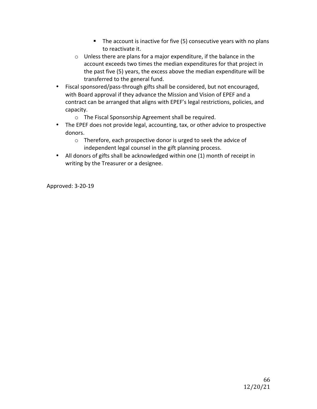- $\blacksquare$  The account is inactive for five (5) consecutive years with no plans to reactivate it.
- $\circ$  Unless there are plans for a major expenditure, if the balance in the account exceeds two times the median expenditures for that project in the past five (5) years, the excess above the median expenditure will be transferred to the general fund.
- Fiscal sponsored/pass-through gifts shall be considered, but not encouraged, with Board approval if they advance the Mission and Vision of EPEF and a contract can be arranged that aligns with EPEF's legal restrictions, policies, and capacity.
	- $\circ$  The Fiscal Sponsorship Agreement shall be required.
- The EPEF does not provide legal, accounting, tax, or other advice to prospective donors.
	- $\circ$  Therefore, each prospective donor is urged to seek the advice of independent legal counsel in the gift planning process.
- All donors of gifts shall be acknowledged within one (1) month of receipt in writing by the Treasurer or a designee.

Approved: 3-20-19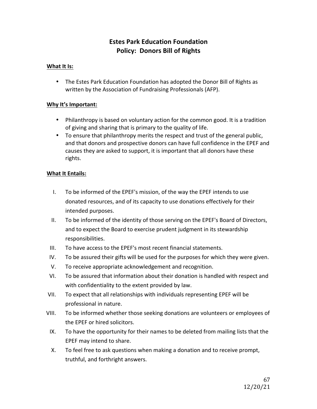### **Estes Park Education Foundation Policy: Donors Bill of Rights**

### **What It Is:**

• The Estes Park Education Foundation has adopted the Donor Bill of Rights as written by the Association of Fundraising Professionals (AFP).

### **Why It's Important:**

- Philanthropy is based on voluntary action for the common good. It is a tradition of giving and sharing that is primary to the quality of life.
- To ensure that philanthropy merits the respect and trust of the general public, and that donors and prospective donors can have full confidence in the EPEF and causes they are asked to support, it is important that all donors have these rights.

### **What It Entails:**

- I. To be informed of the EPEF's mission, of the way the EPEF intends to use donated resources, and of its capacity to use donations effectively for their intended purposes.
- II. To be informed of the identity of those serving on the EPEF's Board of Directors, and to expect the Board to exercise prudent judgment in its stewardship responsibilities.
- III. To have access to the EPEF's most recent financial statements.
- IV. To be assured their gifts will be used for the purposes for which they were given.
- V. To receive appropriate acknowledgement and recognition.
- VI. To be assured that information about their donation is handled with respect and with confidentiality to the extent provided by law.
- VII. To expect that all relationships with individuals representing EPEF will be professional in nature.
- VIII. To be informed whether those seeking donations are volunteers or employees of the EPEF or hired solicitors.
	- IX. To have the opportunity for their names to be deleted from mailing lists that the EPEF may intend to share.
	- X. To feel free to ask questions when making a donation and to receive prompt, truthful, and forthright answers.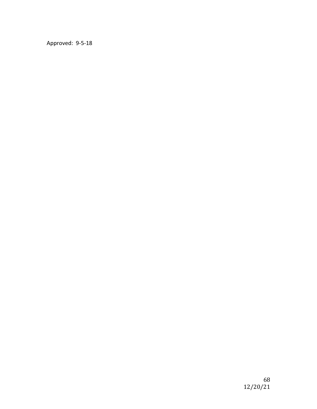Approved: 9-5-18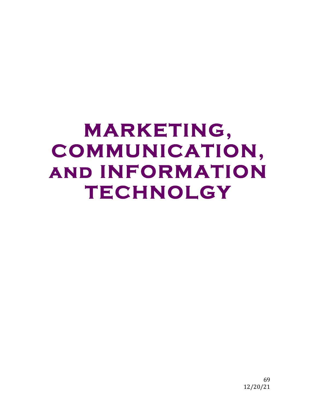### **MARKETING, COMMUNICATION, and INFORMATION TECHNOLGY**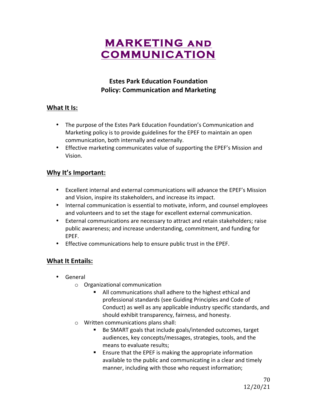### **MARKETING and COMMUNICATION**

### **Estes Park Education Foundation Policy: Communication and Marketing**

### **What It Is:**

- The purpose of the Estes Park Education Foundation's Communication and Marketing policy is to provide guidelines for the EPEF to maintain an open communication, both internally and externally.
- Effective marketing communicates value of supporting the EPEF's Mission and Vision.

### **Why It's Important:**

- Excellent internal and external communications will advance the EPEF's Mission and Vision, inspire its stakeholders, and increase its impact.
- Internal communication is essential to motivate, inform, and counsel employees and volunteers and to set the stage for excellent external communication.
- External communications are necessary to attract and retain stakeholders; raise public awareness; and increase understanding, commitment, and funding for EPEF.
- Effective communications help to ensure public trust in the EPEF.

### **What It Entails:**

- General
	- $\circ$  Organizational communication
		- All communications shall adhere to the highest ethical and professional standards (see Guiding Principles and Code of Conduct) as well as any applicable industry specific standards, and should exhibit transparency, fairness, and honesty.
	- $\circ$  Written communications plans shall:
		- Be SMART goals that include goals/intended outcomes, target audiences, key concepts/messages, strategies, tools, and the means to evaluate results;
		- Ensure that the EPEF is making the appropriate information available to the public and communicating in a clear and timely manner, including with those who request information;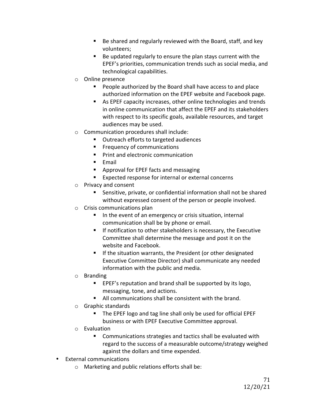- Be shared and regularly reviewed with the Board, staff, and key volunteers;
- Be updated regularly to ensure the plan stays current with the EPEF's priorities, communication trends such as social media, and technological capabilities.
- $\circ$  Online presence
	- People authorized by the Board shall have access to and place authorized information on the EPEF website and Facebook page.
	- As EPEF capacity increases, other online technologies and trends in online communication that affect the EPEF and its stakeholders with respect to its specific goals, available resources, and target audiences may be used.
- $\circ$  Communication procedures shall include:
	- Outreach efforts to targeted audiences
	- Frequency of communications
	- Print and electronic communication
	- Email
	- Approval for EPEF facts and messaging
	- Expected response for internal or external concerns
- $\circ$  Privacy and consent
	- Sensitive, private, or confidential information shall not be shared without expressed consent of the person or people involved.
- $\circ$  Crisis communications plan
	- In the event of an emergency or crisis situation, internal communication shall be by phone or email.
	- $\blacksquare$  If notification to other stakeholders is necessary, the Executive Committee shall determine the message and post it on the website and Facebook.
	- **E** If the situation warrants, the President (or other designated Executive Committee Director) shall communicate any needed information with the public and media.
- o Branding
	- EPEF's reputation and brand shall be supported by its logo, messaging, tone, and actions.
	- All communications shall be consistent with the brand.
- $\circ$  Graphic standards
	- The EPEF logo and tag line shall only be used for official EPEF business or with EPEF Executive Committee approval.
- o Evaluation
	- Communications strategies and tactics shall be evaluated with regard to the success of a measurable outcome/strategy weighed against the dollars and time expended.
- External communications
	- $\circ$  Marketing and public relations efforts shall be: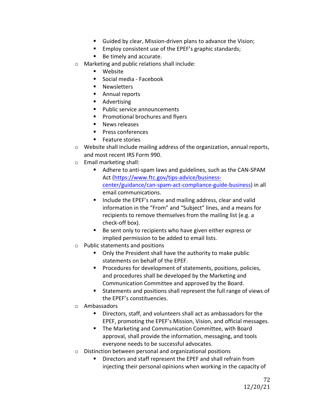- Guided by clear, Mission-driven plans to advance the Vision;
- Employ consistent use of the EPEF's graphic standards;
- Be timely and accurate.
- $\circ$  Marketing and public relations shall include:
	- Website
	- Social media Facebook
	- Newsletters
	- Annual reports
	- Advertising
	- Public service announcements
	- Promotional brochures and flyers
	- News releases
	- Press conferences
	- Feature stories
- $\circ$  Website shall include mailing address of the organization, annual reports, and most recent IRS Form 990.
- $\circ$  Email marketing shall:
	- Adhere to anti-spam laws and guidelines, such as the CAN-SPAM Act (https://www.ftc.gov/tips-advice/businesscenter/guidance/can-spam-act-compliance-guide-business) in all email communications.
	- Include the EPEF's name and mailing address, clear and valid information in the "From" and "Subject" lines, and a means for recipients to remove themselves from the mailing list (e.g. a check-off box).
	- Be sent only to recipients who have given either express or implied permission to be added to email lists.
- $\circ$  Public statements and positions
	- Only the President shall have the authority to make public statements on behalf of the EPEF.
	- Procedures for development of statements, positions, policies, and procedures shall be developed by the Marketing and Communication Committee and approved by the Board.
	- Statements and positions shall represent the full range of views of the EPEF's constituencies.
- o Ambassadors
	- Directors, staff, and volunteers shall act as ambassadors for the EPEF, promoting the EPEF's Mission, Vision, and official messages.
	- The Marketing and Communication Committee, with Board approval, shall provide the information, messaging, and tools everyone needs to be successful advocates.
- $\circ$  Distinction between personal and organizational positions
	- Directors and staff represent the EPEF and shall refrain from injecting their personal opinions when working in the capacity of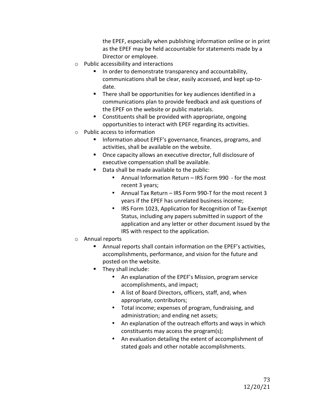the EPEF, especially when publishing information online or in print as the EPEF may be held accountable for statements made by a Director or employee.

- $\circ$  Public accessibility and interactions
	- In order to demonstrate transparency and accountability, communications shall be clear, easily accessed, and kept up-todate.
	- **•** There shall be opportunities for key audiences identified in a communications plan to provide feedback and ask questions of the EPEF on the website or public materials.
	- Constituents shall be provided with appropriate, ongoing opportunities to interact with EPEF regarding its activities.
- $\circ$  Public access to information
	- Information about EPEF's governance, finances, programs, and activities, shall be available on the website.
	- Once capacity allows an executive director, full disclosure of executive compensation shall be available.
	- Data shall be made available to the public:
		- Annual Information Return IRS Form 990 for the most recent 3 years;
		- Annual Tax Return IRS Form 990-T for the most recent 3 years if the EPEF has unrelated business income;
		- IRS Form 1023, Application for Recognition of Tax-Exempt Status, including any papers submitted in support of the application and any letter or other document issued by the IRS with respect to the application.
- $\circ$  Annual reports
	- Annual reports shall contain information on the EPEF's activities, accomplishments, performance, and vision for the future and posted on the website.
	- They shall include:
		- An explanation of the EPEF's Mission, program service accomplishments, and impact;
		- A list of Board Directors, officers, staff, and, when appropriate, contributors;
		- Total income; expenses of program, fundraising, and administration; and ending net assets;
		- An explanation of the outreach efforts and ways in which constituents may access the program(s);
		- An evaluation detailing the extent of accomplishment of stated goals and other notable accomplishments.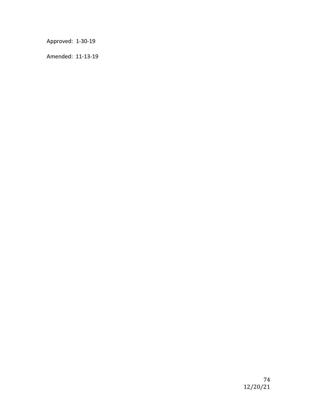Approved: 1-30-19

Amended: 11-13-19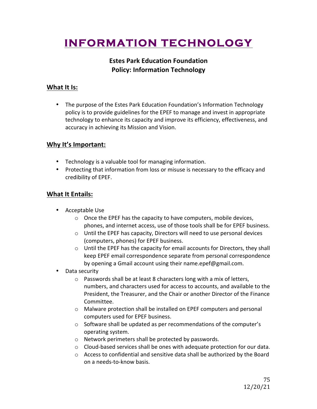# **INFORMATION TECHNOLOGY**

# **Estes Park Education Foundation Policy: Information Technology**

# **What It Is:**

• The purpose of the Estes Park Education Foundation's Information Technology policy is to provide guidelines for the EPEF to manage and invest in appropriate technology to enhance its capacity and improve its efficiency, effectiveness, and accuracy in achieving its Mission and Vision.

# **Why It's Important:**

- Technology is a valuable tool for managing information.
- Protecting that information from loss or misuse is necessary to the efficacy and credibility of EPEF.

- Acceptable Use
	- $\circ$  Once the EPEF has the capacity to have computers, mobile devices, phones, and internet access, use of those tools shall be for EPEF business.
	- $\circ$  Until the EPEF has capacity, Directors will need to use personal devices (computers, phones) for EPEF business.
	- $\circ$  Until the EPEF has the capacity for email accounts for Directors, they shall keep EPEF email correspondence separate from personal correspondence by opening a Gmail account using their name.epef@gmail.com.
- Data security
	- $\circ$  Passwords shall be at least 8 characters long with a mix of letters, numbers, and characters used for access to accounts, and available to the President, the Treasurer, and the Chair or another Director of the Finance Committee.
	- $\circ$  Malware protection shall be installed on EPEF computers and personal computers used for EPEF business.
	- $\circ$  Software shall be updated as per recommendations of the computer's operating system.
	- $\circ$  Network perimeters shall be protected by passwords.
	- $\circ$  Cloud-based services shall be ones with adequate protection for our data.
	- $\circ$  Access to confidential and sensitive data shall be authorized by the Board on a needs-to-know basis.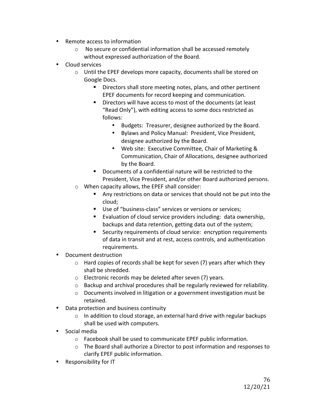- Remote access to information
	- $\circ$  No secure or confidential information shall be accessed remotely without expressed authorization of the Board.
- Cloud services
	- $\circ$  Until the EPEF develops more capacity, documents shall be stored on Google Docs.
		- Directors shall store meeting notes, plans, and other pertinent EPEF documents for record keeping and communication.
		- Directors will have access to most of the documents (at least "Read Only"), with editing access to some docs restricted as follows:
			- Budgets: Treasurer, designee authorized by the Board.
			- Bylaws and Policy Manual: President, Vice President, designee authorized by the Board.
			- Web site: Executive Committee, Chair of Marketing & Communication, Chair of Allocations, designee authorized by the Board.
		- Documents of a confidential nature will be restricted to the President, Vice President, and/or other Board authorized persons.
	- $\circ$  When capacity allows, the EPEF shall consider:
		- Any restrictions on data or services that should not be put into the cloud;
		- Use of "business-class" services or versions or services;
		- Evaluation of cloud service providers including: data ownership, backups and data retention, getting data out of the system;
		- Security requirements of cloud service: encryption requirements of data in transit and at rest, access controls, and authentication requirements.
- Document destruction
	- $\circ$  Hard copies of records shall be kept for seven (7) years after which they shall be shredded.
	- $\circ$  Electronic records may be deleted after seven (7) years.
	- $\circ$  Backup and archival procedures shall be regularly reviewed for reliability.
	- $\circ$  Documents involved in litigation or a government investigation must be retained.
- Data protection and business continuity
	- $\circ$  In addition to cloud storage, an external hard drive with regular backups shall be used with computers.
- Social media
	- $\circ$  Facebook shall be used to communicate EPEF public information.
	- $\circ$  The Board shall authorize a Director to post information and responses to clarify EPEF public information.
- Responsibility for IT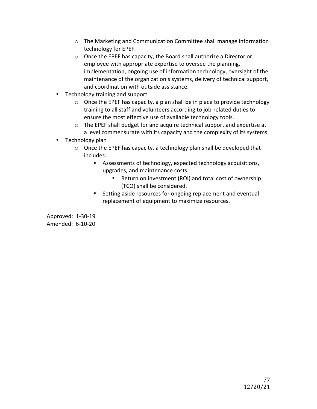- o The Marketing and Communication Committee shall manage information technology for EPEF.
- $\circ$  Once the EPEF has capacity, the Board shall authorize a Director or employee with appropriate expertise to oversee the planning, implementation, ongoing use of information technology, oversight of the maintenance of the organization's systems, delivery of technical support, and coordination with outside assistance.
- Technology training and support
	- $\circ$  Once the EPEF has capacity, a plan shall be in place to provide technology training to all staff and volunteers according to job-related duties to ensure the most effective use of available technology tools.
	- $\circ$  The EPEF shall budget for and acquire technical support and expertise at a level commensurate with its capacity and the complexity of its systems.
- Technology plan
	- $\circ$  Once the EPEF has capacity, a technology plan shall be developed that includes:
		- Assessments of technology, expected technology acquisitions, upgrades, and maintenance costs.
			- Return on investment (ROI) and total cost of ownership (TCO) shall be considered.
		- Setting aside resources for ongoing replacement and eventual replacement of equipment to maximize resources.

Approved: 1-30-19 Amended: 6-10-20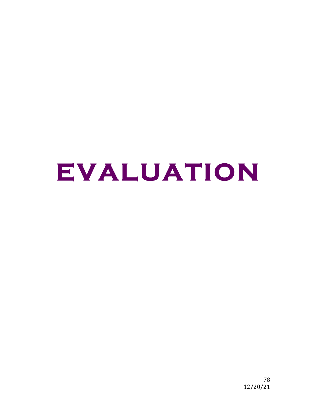# **EVALUATION**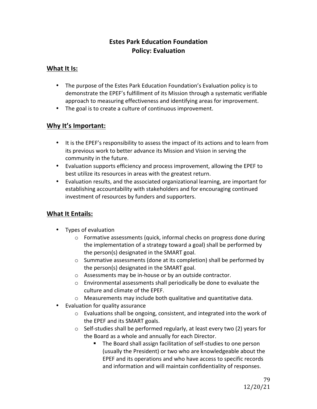# **Estes Park Education Foundation Policy: Evaluation**

### **What It Is:**

- The purpose of the Estes Park Education Foundation's Evaluation policy is to demonstrate the EPEF's fulfillment of its Mission through a systematic verifiable approach to measuring effectiveness and identifying areas for improvement.
- The goal is to create a culture of continuous improvement.

# **Why It's Important:**

- It is the EPEF's responsibility to assess the impact of its actions and to learn from its previous work to better advance its Mission and Vision in serving the community in the future.
- Evaluation supports efficiency and process improvement, allowing the EPEF to best utilize its resources in areas with the greatest return.
- Evaluation results, and the associated organizational learning, are important for establishing accountability with stakeholders and for encouraging continued investment of resources by funders and supporters.

- Types of evaluation
	- $\circ$  Formative assessments (quick, informal checks on progress done during the implementation of a strategy toward a goal) shall be performed by the person(s) designated in the SMART goal.
	- $\circ$  Summative assessments (done at its completion) shall be performed by the person(s) designated in the SMART goal.
	- $\circ$  Assessments may be in-house or by an outside contractor.
	- $\circ$  Environmental assessments shall periodically be done to evaluate the culture and climate of the EPEF.
	- $\circ$  Measurements may include both qualitative and quantitative data.
- Evaluation for quality assurance
	- $\circ$  Evaluations shall be ongoing, consistent, and integrated into the work of the EPEF and its SMART goals.
	- $\circ$  Self-studies shall be performed regularly, at least every two (2) years for the Board as a whole and annually for each Director.
		- The Board shall assign facilitation of self-studies to one person (usually the President) or two who are knowledgeable about the EPEF and its operations and who have access to specific records and information and will maintain confidentiality of responses.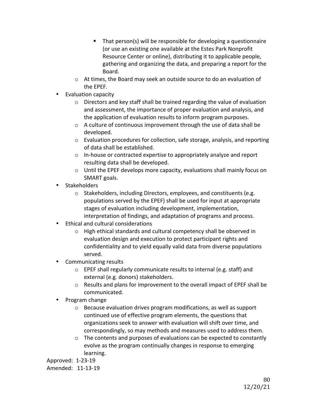- $\blacksquare$  That person(s) will be responsible for developing a questionnaire (or use an existing one available at the Estes Park Nonprofit Resource Center or online), distributing it to applicable people, gathering and organizing the data, and preparing a report for the Board.
- $\circ$  At times, the Board may seek an outside source to do an evaluation of the EPEF.
- Evaluation capacity
	- $\circ$  Directors and key staff shall be trained regarding the value of evaluation and assessment, the importance of proper evaluation and analysis, and the application of evaluation results to inform program purposes.
	- $\circ$  A culture of continuous improvement through the use of data shall be developed.
	- $\circ$  Evaluation procedures for collection, safe storage, analysis, and reporting of data shall be established.
	- $\circ$  In-house or contracted expertise to appropriately analyze and report resulting data shall be developed.
	- $\circ$  Until the EPEF develops more capacity, evaluations shall mainly focus on SMART goals.
- Stakeholders
	- $\circ$  Stakeholders, including Directors, employees, and constituents (e.g. populations served by the EPEF) shall be used for input at appropriate stages of evaluation including development, implementation, interpretation of findings, and adaptation of programs and process.
- Ethical and cultural considerations
	- $\circ$  High ethical standards and cultural competency shall be observed in evaluation design and execution to protect participant rights and confidentiality and to yield equally valid data from diverse populations served.
- **Communicating results** 
	- $\circ$  EPEF shall regularly communicate results to internal (e.g. staff) and external (e.g. donors) stakeholders.
	- $\circ$  Results and plans for improvement to the overall impact of EPEF shall be communicated.
- Program change
	- $\circ$  Because evaluation drives program modifications, as well as support continued use of effective program elements, the questions that organizations seek to answer with evaluation will shift over time, and correspondingly, so may methods and measures used to address them.
	- $\circ$  The contents and purposes of evaluations can be expected to constantly evolve as the program continually changes in response to emerging learning.

Approved: 1-23-19 Amended: 11-13-19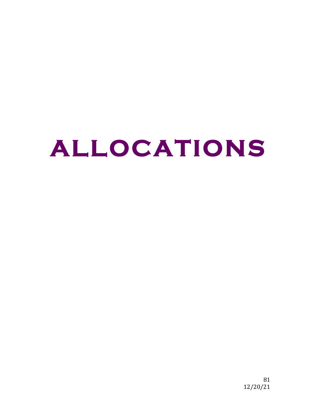# **ALLOCATIONS**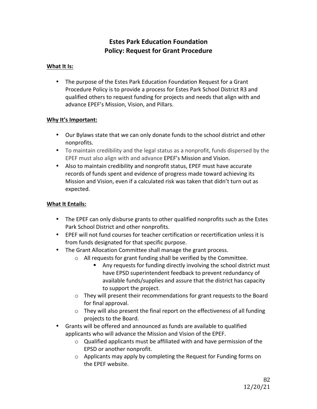# **Estes Park Education Foundation Policy: Request for Grant Procedure**

#### **What It Is:**

• The purpose of the Estes Park Education Foundation Request for a Grant Procedure Policy is to provide a process for Estes Park School District R3 and qualified others to request funding for projects and needs that align with and advance EPEF's Mission, Vision, and Pillars.

#### **Why It's Important:**

- Our Bylaws state that we can only donate funds to the school district and other nonprofits.
- To maintain credibility and the legal status as a nonprofit, funds dispersed by the EPEF must also align with and advance EPEF's Mission and Vision.
- Also to maintain credibility and nonprofit status, EPEF must have accurate records of funds spent and evidence of progress made toward achieving its Mission and Vision, even if a calculated risk was taken that didn't turn out as expected.

- The EPEF can only disburse grants to other qualified nonprofits such as the Estes Park School District and other nonprofits.
- EPEF will not fund courses for teacher certification or recertification unless it is from funds designated for that specific purpose.
- The Grant Allocation Committee shall manage the grant process.
	- $\circ$  All requests for grant funding shall be verified by the Committee.
		- Any requests for funding directly involving the school district must have EPSD superintendent feedback to prevent redundancy of available funds/supplies and assure that the district has capacity to support the project.
	- $\circ$  They will present their recommendations for grant requests to the Board for final approval.
	- $\circ$  They will also present the final report on the effectiveness of all funding projects to the Board.
- Grants will be offered and announced as funds are available to qualified applicants who will advance the Mission and Vision of the EPEF.
	- $\circ$  Qualified applicants must be affiliated with and have permission of the EPSD or another nonprofit.
	- $\circ$  Applicants may apply by completing the Request for Funding forms on the EPEF website.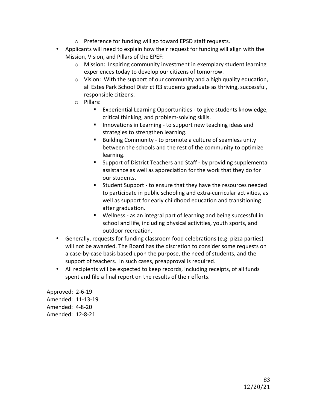- $\circ$  Preference for funding will go toward EPSD staff requests.
- Applicants will need to explain how their request for funding will align with the Mission, Vision, and Pillars of the EPEF:
	- $\circ$  Mission: Inspiring community investment in exemplary student learning experiences today to develop our citizens of tomorrow.
	- $\circ$  Vision: With the support of our community and a high quality education, all Estes Park School District R3 students graduate as thriving, successful, responsible citizens.
	- o Pillars:
		- Experiential Learning Opportunities to give students knowledge, critical thinking, and problem-solving skills.
		- **E** Innovations in Learning to support new teaching ideas and strategies to strengthen learning.
		- Building Community to promote a culture of seamless unity between the schools and the rest of the community to optimize learning.
		- Support of District Teachers and Staff by providing supplemental assistance as well as appreciation for the work that they do for our students.
		- Student Support to ensure that they have the resources needed to participate in public schooling and extra-curricular activities, as well as support for early childhood education and transitioning after graduation.
		- Wellness as an integral part of learning and being successful in school and life, including physical activities, youth sports, and outdoor recreation.
- Generally, requests for funding classroom food celebrations (e.g. pizza parties) will not be awarded. The Board has the discretion to consider some requests on a case-by-case basis based upon the purpose, the need of students, and the support of teachers. In such cases, preapproval is required.
- All recipients will be expected to keep records, including receipts, of all funds spent and file a final report on the results of their efforts.

Approved: 2-6-19 Amended: 11-13-19 Amended: 4-8-20 Amended: 12-8-21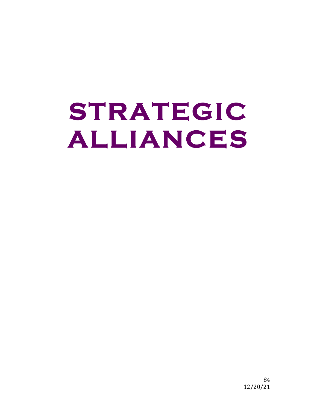# **STRATEGIC ALLIANCES**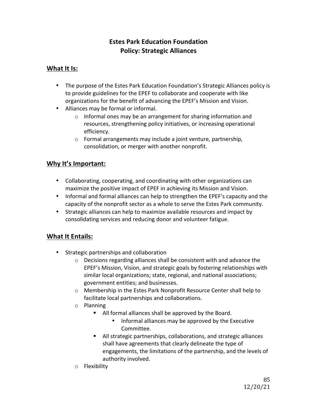# **Estes Park Education Foundation Policy: Strategic Alliances**

### **What It Is:**

- The purpose of the Estes Park Education Foundation's Strategic Alliances policy is to provide guidelines for the EPEF to collaborate and cooperate with like organizations for the benefit of advancing the EPEF's Mission and Vision.
- Alliances may be formal or informal.
	- $\circ$  Informal ones may be an arrangement for sharing information and resources, strengthening policy initiatives, or increasing operational efficiency.
	- $\circ$  Formal arrangements may include a joint venture, partnership, consolidation, or merger with another nonprofit.

# **Why It's Important:**

- Collaborating, cooperating, and coordinating with other organizations can maximize the positive impact of EPEF in achieving its Mission and Vision.
- Informal and formal alliances can help to strengthen the EPEF's capacity and the capacity of the nonprofit sector as a whole to serve the Estes Park community.
- Strategic alliances can help to maximize available resources and impact by consolidating services and reducing donor and volunteer fatigue.

- Strategic partnerships and collaboration
	- $\circ$  Decisions regarding alliances shall be consistent with and advance the EPEF's Mission, Vision, and strategic goals by fostering relationships with similar local organizations; state, regional, and national associations; government entities; and businesses.
	- $\circ$  Membership in the Estes Park Nonprofit Resource Center shall help to facilitate local partnerships and collaborations.
	- o Planning
		- All formal alliances shall be approved by the Board.
			- Informal alliances may be approved by the Executive Committee.
		- All strategic partnerships, collaborations, and strategic alliances shall have agreements that clearly delineate the type of engagements, the limitations of the partnership, and the levels of authority involved.
	- o Flexibility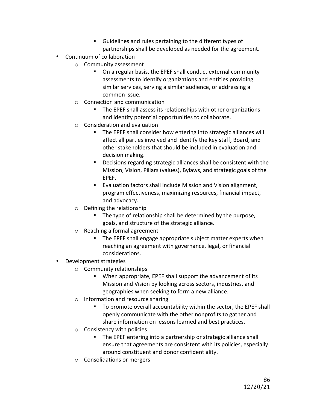- Guidelines and rules pertaining to the different types of partnerships shall be developed as needed for the agreement.
- Continuum of collaboration
	- $\circ$  Community assessment
		- On a regular basis, the EPEF shall conduct external community assessments to identify organizations and entities providing similar services, serving a similar audience, or addressing a common issue.
	- $\circ$  Connection and communication
		- The EPEF shall assess its relationships with other organizations and identify potential opportunities to collaborate.
	- $\circ$  Consideration and evaluation
		- The EPEF shall consider how entering into strategic alliances will affect all parties involved and identify the key staff, Board, and other stakeholders that should be included in evaluation and decision making.
		- Decisions regarding strategic alliances shall be consistent with the Mission, Vision, Pillars (values), Bylaws, and strategic goals of the EPEF.
		- Evaluation factors shall include Mission and Vision alignment, program effectiveness, maximizing resources, financial impact, and advocacy.
	- $\circ$  Defining the relationship
		- The type of relationship shall be determined by the purpose, goals, and structure of the strategic alliance.
	- $\circ$  Reaching a formal agreement
		- **•** The EPEF shall engage appropriate subject matter experts when reaching an agreement with governance, legal, or financial considerations.
- Development strategies
	- $\circ$  Community relationships
		- When appropriate, EPEF shall support the advancement of its Mission and Vision by looking across sectors, industries, and geographies when seeking to form a new alliance.
	- $\circ$  Information and resource sharing
		- To promote overall accountability within the sector, the EPEF shall openly communicate with the other nonprofits to gather and share information on lessons learned and best practices.
	- $\circ$  Consistency with policies
		- The EPEF entering into a partnership or strategic alliance shall ensure that agreements are consistent with its policies, especially around constituent and donor confidentiality.
	- $\circ$  Consolidations or mergers